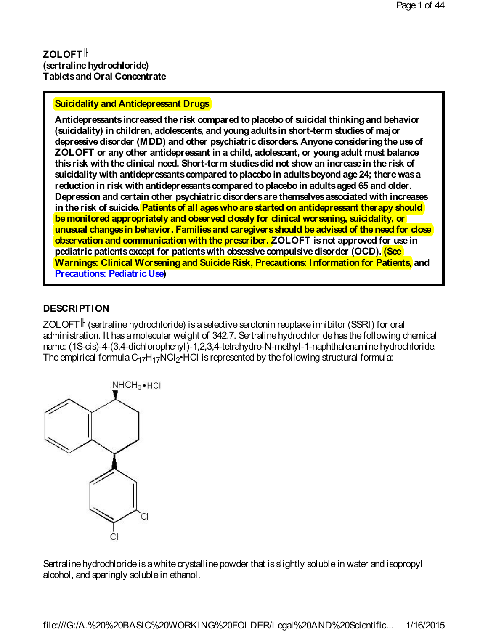# **ZOLOFT ╟ (sertraline hydrochloride) Tablets and Oral Concentrate**

#### **Suicidality and Antidepressant Drugs**

**Antidepressants increased the risk compared to placebo of suicidal thinking and behavior (suicidality) in children, adolescents, and young adults in short-term studies of major depressive disorder (MDD) and other psychiatric disorders. Anyone considering the use of ZOLOFT or any other antidepressant in a child, adolescent, or young adult must balance this risk with the clinical need. Short-term studies did not show an increase in the risk of suicidality with antidepressants compared to placebo in adults beyond age 24; there was a reduction in risk with antidepressants compared to placebo in adults aged 65 and older. Depression and certain other psychiatric disorders are themselves associated with increases in the risk of suicide. Patients of all ages who are started on antidepressant therapy should be monitored appropriately and observed closely for clinical worsening, suicidality, or unusual changes in behavior. Families and caregivers should be advised of the need for close observation and communication with the prescriber. ZOLOFT is not approved for use in pediatric patients except for patients with obsessive compulsive disorder (OCD). (See Warnings: Clinical Worsening and Suicide Risk, Precautions: Information for Patients, and Precautions: Pediatric Use)**

### **DESCRIPTION**

ZOLOFT $\mathbb {I}$  (sertraline hydrochloride) is a selective serotonin reuptake inhibitor (SSRI) for oral administration. It has a molecular weight of 342.7. Sertraline hydrochloride has the following chemical name: (1S-cis)-4-(3,4-dichlorophenyl)-1,2,3,4-tetrahydro-N-methyl-1-naphthalenamine hydrochloride. The empirical formula C<sub>17</sub>H<sub>17</sub>NCl<sub>2</sub>•HCl is represented by the following structural formula:



Sertraline hydrochloride is a white crystalline powder that is slightly soluble in water and isopropyl alcohol, and sparingly soluble in ethanol.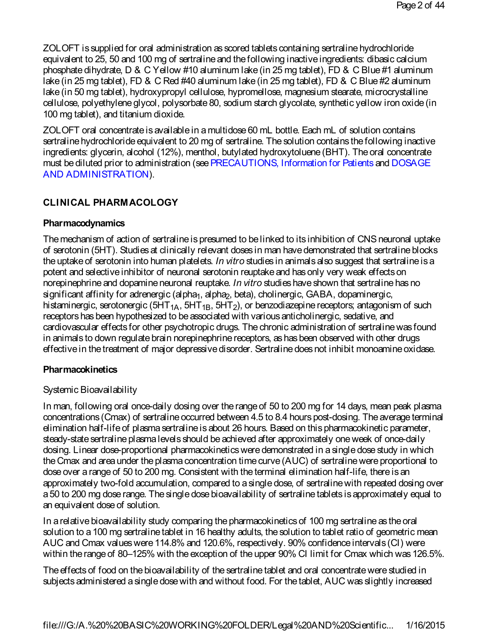ZOLOFT is supplied for oral administration as scored tablets containing sertraline hydrochloride equivalent to 25, 50 and 100 mg of sertraline and the following inactive ingredients: dibasic calcium phosphate dihydrate, D & C Yellow #10 aluminum lake (in 25 mg tablet), FD & C Blue #1 aluminum lake (in 25 mg tablet), FD & C Red #40 aluminum lake (in 25 mg tablet), FD & C Blue #2 aluminum lake (in 50 mg tablet), hydroxypropyl cellulose, hypromellose, magnesium stearate, microcrystalline cellulose, polyethylene glycol, polysorbate 80, sodium starch glycolate, synthetic yellow iron oxide (in 100 mg tablet), and titanium dioxide.

ZOLOFT oral concentrate is available in a multidose 60 mL bottle. Each mL of solution contains sertraline hydrochloride equivalent to 20 mg of sertraline. The solution contains the following inactive ingredients: glycerin, alcohol (12%), menthol, butylated hydroxytoluene (BHT). The oral concentrate must be diluted prior to administration (seePRECAUTIONS, Information for Patients and DOSAGE AND ADMINISTRATION).

# **CLINICAL PHARMACOLOGY**

### **Pharmacodynamics**

The mechanism of action of sertraline is presumed to be linked to its inhibition of CNS neuronal uptake of serotonin (5HT). Studies at clinically relevant doses in man have demonstrated that sertraline blocks the uptake of serotonin into human platelets. *In vitro* studies in animals also suggest that sertraline is a potent and selective inhibitor of neuronal serotonin reuptake and has only very weak effects on norepinephrine and dopamine neuronal reuptake. *In vitro* studies have shown that sertraline has no significant affinity for adrenergic (alpha<sub>1</sub>, alpha<sub>2</sub>, beta), cholinergic, GABA, dopaminergic, histaminergic, serotonergic (5HT $_{\rm 1A}$ , 5HT $_{\rm 1B}$ , 5HT $_{\rm 2)}$ , or benzodiazepine receptors; antagonism of such receptors has been hypothesized to be associated with various anticholinergic, sedative, and cardiovascular effects for other psychotropic drugs. The chronic administration of sertraline was found in animals to down regulate brain norepinephrine receptors, as has been observed with other drugs effective in the treatment of major depressive disorder. Sertraline does not inhibit monoamine oxidase.

### **Pharmacokinetics**

### Systemic Bioavailability

In man, following oral once-daily dosing over the range of 50 to 200 mg for 14 days, mean peak plasma concentrations (Cmax) of sertraline occurred between 4.5 to 8.4 hours post-dosing. The average terminal elimination half-life of plasma sertraline is about 26 hours. Based on this pharmacokinetic parameter, steady-state sertraline plasma levels should be achieved after approximately one week of once-daily dosing. Linear dose-proportional pharmacokinetics were demonstrated in a single dose study in which the Cmax and area under the plasma concentration time curve (AUC) of sertraline were proportional to dose over a range of 50 to 200 mg. Consistent with the terminal elimination half-life, there is an approximately two-fold accumulation, compared to a single dose, of sertraline with repeated dosing over a 50 to 200 mg dose range. The single dose bioavailability of sertraline tablets is approximately equal to an equivalent dose of solution.

In a relative bioavailability study comparing the pharmacokinetics of 100 mg sertraline as the oral solution to a 100 mg sertraline tablet in 16 healthy adults, the solution to tablet ratio of geometric mean AUC and Cmax values were 114.8% and 120.6%, respectively. 90% confidence intervals (CI) were within the range of 80–125% with the exception of the upper 90% CI limit for Cmax which was 126.5%.

The effects of food on the bioavailability of the sertraline tablet and oral concentrate were studied in subjects administered a single dose with and without food. For the tablet, AUC was slightly increased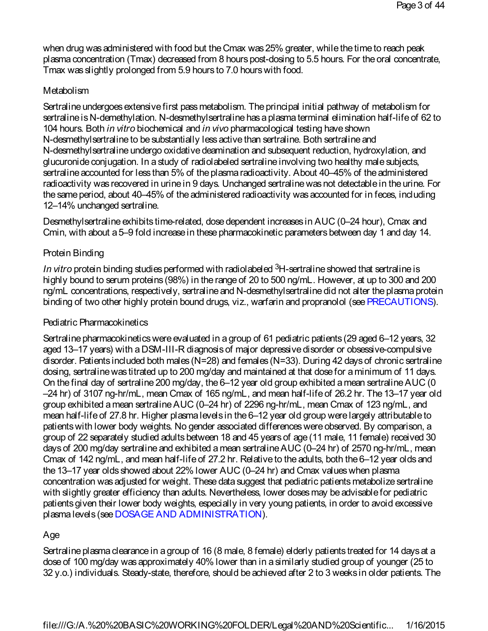when drug was administered with food but the Cmax was 25% greater, while the time to reach peak plasma concentration (Tmax) decreased from 8 hours post-dosing to 5.5 hours. For the oral concentrate, Tmax was slightly prolonged from 5.9 hours to 7.0 hours with food.

#### Metabolism

Sertraline undergoes extensive first pass metabolism. The principal initial pathway of metabolism for sertraline is N-demethylation. N-desmethylsertraline has a plasma terminal elimination half-life of 62 to 104 hours. Both *in vitro* biochemical and *in vivo* pharmacological testing have shown N-desmethylsertraline to be substantially less active than sertraline. Both sertraline and N-desmethylsertraline undergo oxidative deamination and subsequent reduction, hydroxylation, and glucuronide conjugation. In a study of radiolabeled sertraline involving two healthy male subjects, sertraline accounted for less than 5% of the plasma radioactivity. About 40–45% of the administered radioactivity was recovered in urine in 9 days. Unchanged sertraline was not detectable in the urine. For the same period, about 40–45% of the administered radioactivity was accounted for in feces, including 12–14% unchanged sertraline.

Desmethylsertraline exhibits time-related, dose dependent increases in AUC (0–24 hour), Cmax and Cmin, with about a 5–9 fold increase in these pharmacokinetic parameters between day 1 and day 14.

#### Protein Binding

*In vitro* protein binding studies performed with radiolabeled <sup>3</sup>H-sertraline showed that sertraline is highly bound to serum proteins (98%) in the range of 20 to 500 ng/mL. However, at up to 300 and 200 ng/mL concentrations, respectively, sertraline and N-desmethylsertraline did not alter the plasma protein binding of two other highly protein bound drugs, viz., warfarin and propranolol (see PRECAUTIONS).

#### Pediatric Pharmacokinetics

Sertraline pharmacokinetics were evaluated in a group of 61 pediatric patients (29 aged 6–12 years, 32 aged 13–17 years) with a DSM-III-R diagnosis of major depressive disorder or obsessive-compulsive disorder. Patients included both males (N=28) and females (N=33). During 42 days of chronic sertraline dosing, sertraline was titrated up to 200 mg/day and maintained at that dose for a minimum of 11 days. On the final day of sertraline 200 mg/day, the 6–12 year old group exhibited a mean sertraline AUC (0 –24 hr) of 3107 ng-hr/mL, mean Cmax of 165 ng/mL, and mean half-life of 26.2 hr. The 13–17 year old group exhibited a mean sertraline AUC (0–24 hr) of 2296 ng-hr/mL, mean Cmax of 123 ng/mL, and mean half-life of 27.8 hr. Higher plasma levels in the 6–12 year old group were largely attributable to patients with lower body weights. No gender associated differences were observed. By comparison, a group of 22 separately studied adults between 18 and 45 years of age (11 male, 11 female) received 30 days of 200 mg/day sertraline and exhibited a mean sertraline AUC (0–24 hr) of 2570 ng-hr/mL, mean Cmax of 142 ng/mL, and mean half-life of 27.2 hr. Relative to the adults, both the 6–12 year olds and the 13–17 year olds showed about 22% lower AUC (0–24 hr) and Cmax values when plasma concentration was adjusted for weight. These data suggest that pediatric patients metabolize sertraline with slightly greater efficiency than adults. Nevertheless, lower doses may be advisable for pediatric patients given their lower body weights, especially in very young patients, in order to avoid excessive plasma levels (see DOSAGE AND ADMINISTRATION).

### Age

Sertraline plasma clearance in a group of 16 (8 male, 8 female) elderly patients treated for 14 days at a dose of 100 mg/day was approximately 40% lower than in a similarly studied group of younger (25 to 32 y.o.) individuals. Steady-state, therefore, should be achieved after 2 to 3 weeks in older patients. The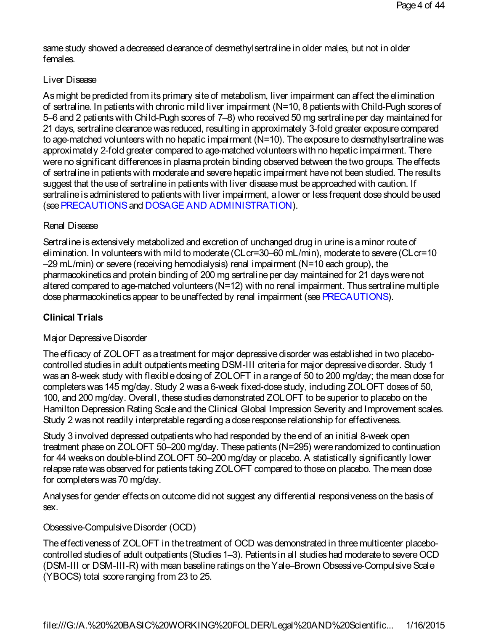same study showed a decreased clearance of desmethylsertraline in older males, but not in older females.

### Liver Disease

As might be predicted from its primary site of metabolism, liver impairment can affect the elimination of sertraline. In patients with chronic mild liver impairment (N=10, 8 patients with Child-Pugh scores of 5–6 and 2 patients with Child-Pugh scores of 7–8) who received 50 mg sertraline per day maintained for 21 days, sertraline clearance was reduced, resulting in approximately 3-fold greater exposure compared to age-matched volunteers with no hepatic impairment (N=10). The exposure to desmethylsertraline was approximately 2-fold greater compared to age-matched volunteers with no hepatic impairment. There were no significant differences in plasma protein binding observed between the two groups. The effects of sertraline in patients with moderate and severe hepatic impairment have not been studied. The results suggest that the use of sertraline in patients with liver disease must be approached with caution. If sertraline is administered to patients with liver impairment, a lower or less frequent dose should be used (see PRECAUTIONS and DOSAGE AND ADMINISTRATION).

# Renal Disease

Sertraline is extensively metabolized and excretion of unchanged drug in urine is a minor route of elimination. In volunteers with mild to moderate (CLcr=30–60 mL/min), moderate to severe (CLcr=10 –29 mL/min) or severe (receiving hemodialysis) renal impairment (N=10 each group), the pharmacokinetics and protein binding of 200 mg sertraline per day maintained for 21 days were not altered compared to age-matched volunteers (N=12) with no renal impairment. Thus sertraline multiple dose pharmacokinetics appear to be unaffected by renal impairment (see PRECAUTIONS).

# **Clinical Trials**

# Major Depressive Disorder

The efficacy of ZOLOFT as a treatment for major depressive disorder was established in two placebocontrolled studies in adult outpatients meeting DSM-III criteria for major depressive disorder. Study 1 was an 8-week study with flexible dosing of ZOLOFT in a range of 50 to 200 mg/day; the mean dose for completers was 145 mg/day. Study 2 was a 6-week fixed-dose study, including ZOLOFT doses of 50, 100, and 200 mg/day. Overall, these studies demonstrated ZOLOFT to be superior to placebo on the Hamilton Depression Rating Scale and the Clinical Global Impression Severity and Improvement scales. Study 2 was not readily interpretable regarding a dose response relationship for effectiveness.

Study 3 involved depressed outpatients who had responded by the end of an initial 8-week open treatment phase on ZOLOFT 50–200 mg/day. These patients (N=295) were randomized to continuation for 44 weeks on double-blind ZOLOFT 50–200 mg/day or placebo. A statistically significantly lower relapse rate was observed for patients taking ZOLOFT compared to those on placebo. The mean dose for completers was 70 mg/day.

Analyses for gender effects on outcome did not suggest any differential responsiveness on the basis of sex.

# Obsessive-Compulsive Disorder (OCD)

The effectiveness of ZOLOFT in the treatment of OCD was demonstrated in three multicenter placebocontrolled studies of adult outpatients (Studies 1–3). Patients in all studies had moderate to severe OCD (DSM-III or DSM-III-R) with mean baseline ratings on the Yale–Brown Obsessive-Compulsive Scale (YBOCS) total score ranging from 23 to 25.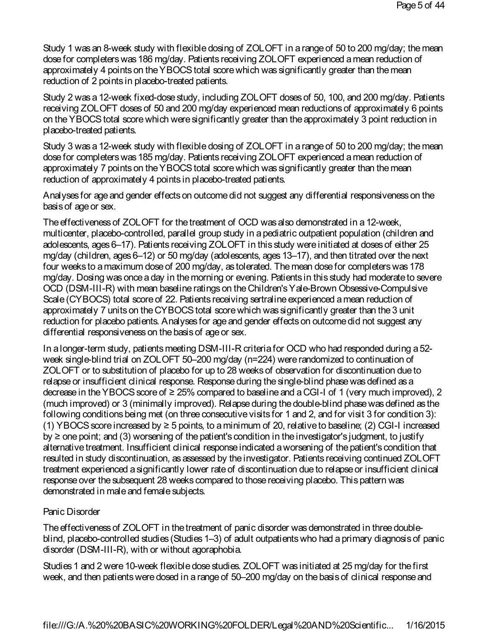Study 1 was an 8-week study with flexible dosing of ZOLOFT in a range of 50 to 200 mg/day; the mean dose for completers was 186 mg/day. Patients receiving ZOLOFT experienced a mean reduction of approximately 4 points on the YBOCS total score which was significantly greater than the mean reduction of 2 points in placebo-treated patients.

Study 2 was a 12-week fixed-dose study, including ZOLOFT doses of 50, 100, and 200 mg/day. Patients receiving ZOLOFT doses of 50 and 200 mg/day experienced mean reductions of approximately 6 points on the YBOCS total score which were significantly greater than the approximately 3 point reduction in placebo-treated patients.

Study 3 was a 12-week study with flexible dosing of ZOLOFT in a range of 50 to 200 mg/day; the mean dose for completers was 185 mg/day. Patients receiving ZOLOFT experienced a mean reduction of approximately 7 points on the YBOCS total score which was significantly greater than the mean reduction of approximately 4 points in placebo-treated patients.

Analyses for age and gender effects on outcome did not suggest any differential responsiveness on the basis of age or sex.

The effectiveness of ZOLOFT for the treatment of OCD was also demonstrated in a 12-week, multicenter, placebo-controlled, parallel group study in a pediatric outpatient population (children and adolescents, ages 6–17). Patients receiving ZOLOFT in this study were initiated at doses of either 25 mg/day (children, ages 6–12) or 50 mg/day (adolescents, ages 13–17), and then titrated over the next four weeks to a maximum dose of 200 mg/day, as tolerated. The mean dose for completers was 178 mg/day. Dosing was once a day in the morning or evening. Patients in this study had moderate to severe OCD (DSM-III-R) with mean baseline ratings on the Children's Yale-Brown Obsessive-Compulsive Scale (CYBOCS) total score of 22. Patients receiving sertraline experienced a mean reduction of approximately 7 units on the CYBOCS total score which was significantly greater than the 3 unit reduction for placebo patients. Analyses for age and gender effects on outcome did not suggest any differential responsiveness on the basis of age or sex.

In a longer-term study, patients meeting DSM-III-R criteria for OCD who had responded during a 52 week single-blind trial on ZOLOFT 50–200 mg/day (n=224) were randomized to continuation of ZOLOFT or to substitution of placebo for up to 28 weeks of observation for discontinuation due to relapse or insufficient clinical response. Response during the single-blind phase was defined as a decrease in the YBOCS score of ≥ 25% compared to baseline and a CGI-I of 1 (very much improved), 2 (much improved) or 3 (minimally improved). Relapse during the double-blind phase was defined as the following conditions being met (on three consecutive visits for 1 and 2, and for visit 3 for condition 3): (1) YBOCS score increased by ≥ 5 points, to a minimum of 20, relative to baseline; (2) CGI-I increased by ≥ one point; and (3) worsening of the patient's condition in the investigator's judgment, to justify alternative treatment. Insufficient clinical response indicated a worsening of the patient's condition that resulted in study discontinuation, as assessed by the investigator. Patients receiving continued ZOLOFT treatment experienced a significantly lower rate of discontinuation due to relapse or insufficient clinical response over the subsequent 28 weeks compared to those receiving placebo. This pattern was demonstrated in male and female subjects.

### Panic Disorder

The effectiveness of ZOLOFT in the treatment of panic disorder was demonstrated in three doubleblind, placebo-controlled studies (Studies 1–3) of adult outpatients who had a primary diagnosis of panic disorder (DSM-III-R), with or without agoraphobia.

Studies 1 and 2 were 10-week flexible dose studies. ZOLOFT was initiated at 25 mg/day for the first week, and then patients were dosed in a range of 50–200 mg/day on the basis of clinical response and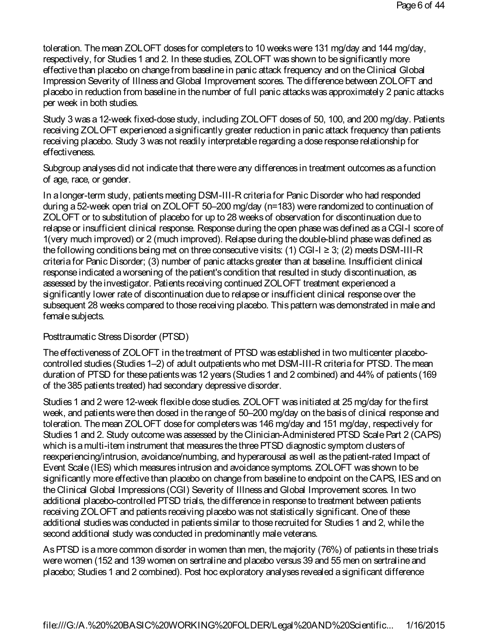toleration. The mean ZOLOFT doses for completers to 10 weeks were 131 mg/day and 144 mg/day, respectively, for Studies 1 and 2. In these studies, ZOLOFT was shown to be significantly more effective than placebo on change from baseline in panic attack frequency and on the Clinical Global Impression Severity of Illness and Global Improvement scores. The difference between ZOLOFT and placebo in reduction from baseline in the number of full panic attacks was approximately 2 panic attacks per week in both studies.

Study 3 was a 12-week fixed-dose study, including ZOLOFT doses of 50, 100, and 200 mg/day. Patients receiving ZOLOFT experienced a significantly greater reduction in panic attack frequency than patients receiving placebo. Study 3 was not readily interpretable regarding a dose response relationship for effectiveness.

Subgroup analyses did not indicate that there were any differences in treatment outcomes as a function of age, race, or gender.

In a longer-term study, patients meeting DSM-III-R criteria for Panic Disorder who had responded during a 52-week open trial on ZOLOFT 50–200 mg/day (n=183) were randomized to continuation of ZOLOFT or to substitution of placebo for up to 28 weeks of observation for discontinuation due to relapse or insufficient clinical response. Response during the open phase was defined as a CGI-I score of 1(very much improved) or 2 (much improved). Relapse during the double-blind phase was defined as the following conditions being met on three consecutive visits: (1) CGI-I  $\geq$  3; (2) meets DSM-III-R criteria for Panic Disorder; (3) number of panic attacks greater than at baseline. Insufficient clinical response indicated a worsening of the patient's condition that resulted in study discontinuation, as assessed by the investigator. Patients receiving continued ZOLOFT treatment experienced a significantly lower rate of discontinuation due to relapse or insufficient clinical response over the subsequent 28 weeks compared to those receiving placebo. This pattern was demonstrated in male and female subjects.

# Posttraumatic Stress Disorder (PTSD)

The effectiveness of ZOLOFT in the treatment of PTSD was established in two multicenter placebocontrolled studies (Studies 1–2) of adult outpatients who met DSM-III-R criteria for PTSD. The mean duration of PTSD for these patients was 12 years (Studies 1 and 2 combined) and 44% of patients (169 of the 385 patients treated) had secondary depressive disorder.

Studies 1 and 2 were 12-week flexible dose studies. ZOLOFT was initiated at 25 mg/day for the first week, and patients were then dosed in the range of 50–200 mg/day on the basis of clinical response and toleration. The mean ZOLOFT dose for completers was 146 mg/day and 151 mg/day, respectively for Studies 1 and 2. Study outcome was assessed by the Clinician-Administered PTSD Scale Part 2 (CAPS) which is a multi-item instrument that measures the three PTSD diagnostic symptom clusters of reexperiencing/intrusion, avoidance/numbing, and hyperarousal as well as the patient-rated Impact of Event Scale (IES) which measures intrusion and avoidance symptoms. ZOLOFT was shown to be significantly more effective than placebo on change from baseline to endpoint on the CAPS, IES and on the Clinical Global Impressions (CGI) Severity of Illness and Global Improvement scores. In two additional placebo-controlled PTSD trials, the difference in response to treatment between patients receiving ZOLOFT and patients receiving placebo was not statistically significant. One of these additional studies was conducted in patients similar to those recruited for Studies 1 and 2, while the second additional study was conducted in predominantly male veterans.

As PTSD is a more common disorder in women than men, the majority (76%) of patients in these trials were women (152 and 139 women on sertraline and placebo versus 39 and 55 men on sertraline and placebo; Studies 1 and 2 combined). Post hoc exploratory analyses revealed a significant difference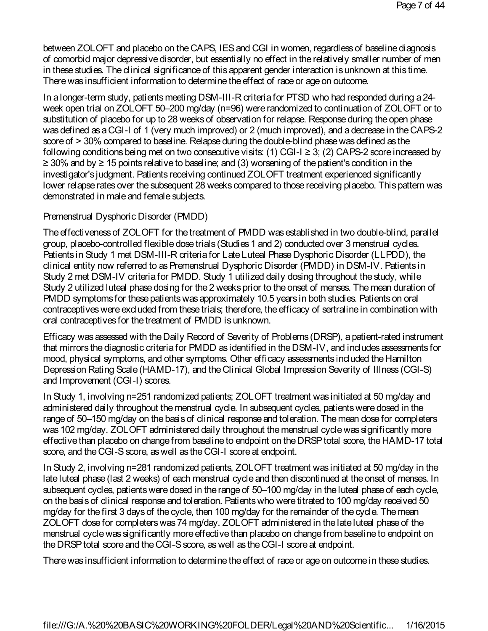between ZOLOFT and placebo on the CAPS, IES and CGI in women, regardless of baseline diagnosis of comorbid major depressive disorder, but essentially no effect in the relatively smaller number of men in these studies. The clinical significance of this apparent gender interaction is unknown at this time. There was insufficient information to determine the effect of race or age on outcome.

In a longer-term study, patients meeting DSM-III-R criteria for PTSD who had responded during a 24 week open trial on ZOLOFT 50–200 mg/day (n=96) were randomized to continuation of ZOLOFT or to substitution of placebo for up to 28 weeks of observation for relapse. Response during the open phase was defined as a CGI-I of 1 (very much improved) or 2 (much improved), and a decrease in the CAPS-2 score of > 30% compared to baseline. Relapse during the double-blind phase was defined as the following conditions being met on two consecutive visits: (1) CGI-I  $\geq$  3; (2) CAPS-2 score increased by  $\geq$  30% and by  $\geq$  15 points relative to baseline; and (3) worsening of the patient's condition in the investigator's judgment. Patients receiving continued ZOLOFT treatment experienced significantly lower relapse rates over the subsequent 28 weeks compared to those receiving placebo. This pattern was demonstrated in male and female subjects.

# Premenstrual Dysphoric Disorder (PMDD)

The effectiveness of ZOLOFT for the treatment of PMDD was established in two double-blind, parallel group, placebo-controlled flexible dose trials (Studies 1 and 2) conducted over 3 menstrual cycles. Patients in Study 1 met DSM-III-R criteria for Late Luteal Phase Dysphoric Disorder (LLPDD), the clinical entity now referred to as Premenstrual Dysphoric Disorder (PMDD) in DSM-IV. Patients in Study 2 met DSM-IV criteria for PMDD. Study 1 utilized daily dosing throughout the study, while Study 2 utilized luteal phase dosing for the 2 weeks prior to the onset of menses. The mean duration of PMDD symptoms for these patients was approximately 10.5 years in both studies. Patients on oral contraceptives were excluded from these trials; therefore, the efficacy of sertraline in combination with oral contraceptives for the treatment of PMDD is unknown.

Efficacy was assessed with the Daily Record of Severity of Problems (DRSP), a patient-rated instrument that mirrors the diagnostic criteria for PMDD as identified in the DSM-IV, and includes assessments for mood, physical symptoms, and other symptoms. Other efficacy assessments included the Hamilton Depression Rating Scale (HAMD-17), and the Clinical Global Impression Severity of Illness (CGI-S) and Improvement (CGI-I) scores.

In Study 1, involving n=251 randomized patients; ZOLOFT treatment was initiated at 50 mg/day and administered daily throughout the menstrual cycle. In subsequent cycles, patients were dosed in the range of 50–150 mg/day on the basis of clinical response and toleration. The mean dose for completers was 102 mg/day. ZOLOFT administered daily throughout the menstrual cycle was significantly more effective than placebo on change from baseline to endpoint on the DRSP total score, the HAMD-17 total score, and the CGI-S score, as well as the CGI-I score at endpoint.

In Study 2, involving n=281 randomized patients, ZOLOFT treatment was initiated at 50 mg/day in the late luteal phase (last 2 weeks) of each menstrual cycle and then discontinued at the onset of menses. In subsequent cycles, patients were dosed in the range of 50–100 mg/day in the luteal phase of each cycle, on the basis of clinical response and toleration. Patients who were titrated to 100 mg/day received 50 mg/day for the first 3 days of the cycle, then 100 mg/day for the remainder of the cycle. The mean ZOLOFT dose for completers was 74 mg/day. ZOLOFT administered in the late luteal phase of the menstrual cycle was significantly more effective than placebo on change from baseline to endpoint on the DRSP total score and the CGI-S score, as well as the CGI-I score at endpoint.

There was insufficient information to determine the effect of race or age on outcome in these studies.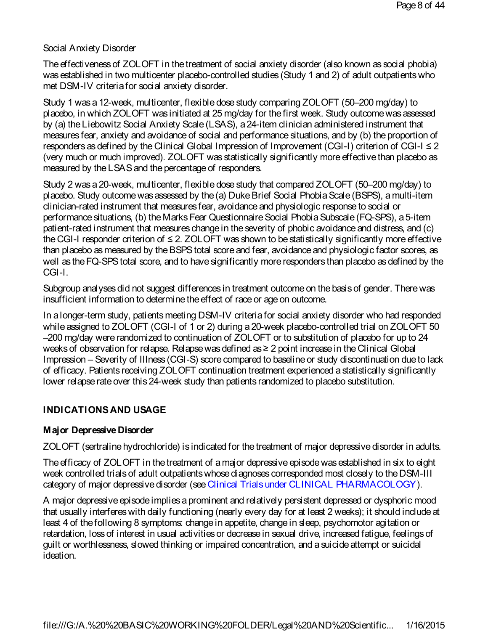# Social Anxiety Disorder

The effectiveness of ZOLOFT in the treatment of social anxiety disorder (also known as social phobia) was established in two multicenter placebo-controlled studies (Study 1 and 2) of adult outpatients who met DSM-IV criteria for social anxiety disorder.

Study 1 was a 12-week, multicenter, flexible dose study comparing ZOLOFT (50–200 mg/day) to placebo, in which ZOLOFT was initiated at 25 mg/day for the first week. Study outcome was assessed by (a) the Liebowitz Social Anxiety Scale (LSAS), a 24-item clinician administered instrument that measures fear, anxiety and avoidance of social and performance situations, and by (b) the proportion of responders as defined by the Clinical Global Impression of Improvement (CGI-I) criterion of CGI-I ≤ 2 (very much or much improved). ZOLOFT was statistically significantly more effective than placebo as measured by the LSAS and the percentage of responders.

Study 2 was a 20-week, multicenter, flexible dose study that compared ZOLOFT (50–200 mg/day) to placebo. Study outcome was assessed by the (a) Duke Brief Social Phobia Scale (BSPS), a multi-item clinician-rated instrument that measures fear, avoidance and physiologic response to social or performance situations, (b) the Marks Fear Questionnaire Social Phobia Subscale (FQ-SPS), a 5-item patient-rated instrument that measures change in the severity of phobic avoidance and distress, and (c) the CGI-I responder criterion of ≤ 2. ZOLOFT was shown to be statistically significantly more effective than placebo as measured by the BSPS total score and fear, avoidance and physiologic factor scores, as well as the FQ-SPS total score, and to have significantly more responders than placebo as defined by the CGI-I.

Subgroup analyses did not suggest differences in treatment outcome on the basis of gender. There was insufficient information to determine the effect of race or age on outcome.

In a longer-term study, patients meeting DSM-IV criteria for social anxiety disorder who had responded while assigned to ZOLOFT (CGI-I of 1 or 2) during a 20-week placebo-controlled trial on ZOLOFT 50 –200 mg/day were randomized to continuation of ZOLOFT or to substitution of placebo for up to 24 weeks of observation for relapse. Relapse was defined as ≥ 2 point increase in the Clinical Global Impression – Severity of Illness (CGI-S) score compared to baseline or study discontinuation due to lack of efficacy. Patients receiving ZOLOFT continuation treatment experienced a statistically significantly lower relapse rate over this 24-week study than patients randomized to placebo substitution.

# **INDICATIONS AND USAGE**

### **Major Depressive Disorder**

ZOLOFT (sertraline hydrochloride) is indicated for the treatment of major depressive disorder in adults.

The efficacy of ZOLOFT in the treatment of a major depressive episode was established in six to eight week controlled trials of adult outpatients whose diagnoses corresponded most closely to the DSM-III category of major depressive disorder (see Clinical Trials under CLINICAL PHARMACOLOGY).

A major depressive episode implies a prominent and relatively persistent depressed or dysphoric mood that usually interferes with daily functioning (nearly every day for at least 2 weeks); it should include at least 4 of the following 8 symptoms: change in appetite, change in sleep, psychomotor agitation or retardation, loss of interest in usual activities or decrease in sexual drive, increased fatigue, feelings of guilt or worthlessness, slowed thinking or impaired concentration, and a suicide attempt or suicidal ideation.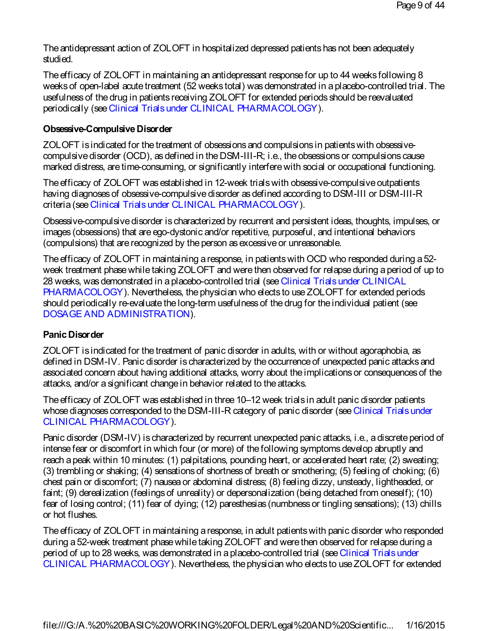The antidepressant action of ZOLOFT in hospitalized depressed patients has not been adequately studied.

The efficacy of ZOLOFT in maintaining an antidepressant response for up to 44 weeks following 8 weeks of open-label acute treatment (52 weeks total) was demonstrated in a placebo-controlled trial. The usefulness of the drug in patients receiving ZOLOFT for extended periods should be reevaluated periodically (seeClinical Trials under CLINICAL PHARMACOLOGY).

#### **Obsessive-Compulsive Disorder**

ZOLOFT is indicated for the treatment of obsessions and compulsions in patients with obsessivecompulsive disorder (OCD), as defined in the DSM-III-R; i.e., the obsessions or compulsions cause marked distress, are time-consuming, or significantly interfere with social or occupational functioning.

The efficacy of ZOLOFT was established in 12-week trials with obsessive-compulsive outpatients having diagnoses of obsessive-compulsive disorder as defined according to DSM-III or DSM-III-R criteria (seeClinical Trials under CLINICAL PHARMACOLOGY).

Obsessive-compulsive disorder is characterized by recurrent and persistent ideas, thoughts, impulses, or images (obsessions) that are ego-dystonic and/or repetitive, purposeful, and intentional behaviors (compulsions) that are recognized by the person as excessive or unreasonable.

The efficacy of ZOLOFT in maintaining a response, in patients with OCD who responded during a 52 week treatment phase while taking ZOLOFT and were then observed for relapse during a period of up to 28 weeks, was demonstrated in a placebo-controlled trial (see Clinical Trials under CLINICAL PHARMACOLOGY). Nevertheless, the physician who elects to use ZOLOFT for extended periods should periodically re-evaluate the long-term usefulness of the drug for the individual patient (see DOSAGE AND ADMINISTRATION).

### **Panic Disorder**

ZOLOFT is indicated for the treatment of panic disorder in adults, with or without agoraphobia, as defined in DSM-IV. Panic disorder is characterized by the occurrence of unexpected panic attacks and associated concern about having additional attacks, worry about the implications or consequences of the attacks, and/or a significant change in behavior related to the attacks.

The efficacy of ZOLOFT was established in three 10–12 week trials in adult panic disorder patients whose diagnoses corresponded to the DSM-III-R category of panic disorder (see Clinical Trials under CLINICAL PHARMACOLOGY).

Panic disorder (DSM-IV) is characterized by recurrent unexpected panic attacks, i.e., a discrete period of intense fear or discomfort in which four (or more) of the following symptoms develop abruptly and reach a peak within 10 minutes: (1) palpitations, pounding heart, or accelerated heart rate; (2) sweating; (3) trembling or shaking; (4) sensations of shortness of breath or smothering; (5) feeling of choking; (6) chest pain or discomfort; (7) nausea or abdominal distress; (8) feeling dizzy, unsteady, lightheaded, or faint; (9) derealization (feelings of unreality) or depersonalization (being detached from oneself); (10) fear of losing control; (11) fear of dying; (12) paresthesias (numbness or tingling sensations); (13) chills or hot flushes.

The efficacy of ZOLOFT in maintaining a response, in adult patients with panic disorder who responded during a 52-week treatment phase while taking ZOLOFT and were then observed for relapse during a period of up to 28 weeks, was demonstrated in a placebo-controlled trial (see Clinical Trials under CLINICAL PHARMACOLOGY). Nevertheless, the physician who elects to use ZOLOFT for extended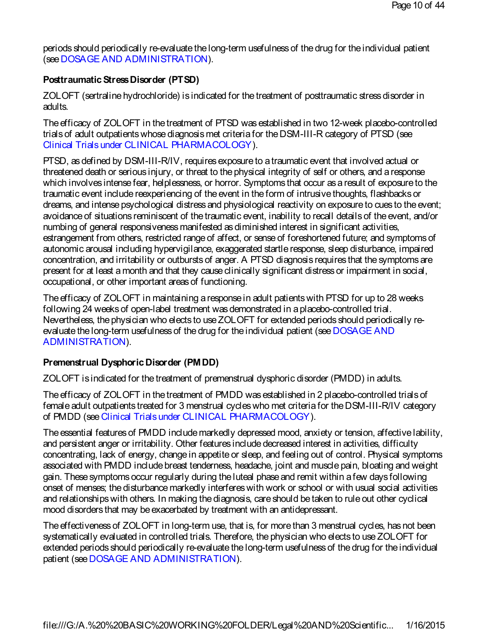periods should periodically re-evaluate the long-term usefulness of the drug for the individual patient (seeDOSAGE AND ADMINISTRATION).

# **Posttraumatic Stress Disorder (PTSD)**

ZOLOFT (sertraline hydrochloride) is indicated for the treatment of posttraumatic stress disorder in adults.

The efficacy of ZOLOFT in the treatment of PTSD was established in two 12-week placebo-controlled trials of adult outpatients whose diagnosis met criteria for the DSM-III-R category of PTSD (see Clinical Trials under CLINICAL PHARMACOLOGY).

PTSD, as defined by DSM-III-R/IV, requires exposure to a traumatic event that involved actual or threatened death or serious injury, or threat to the physical integrity of self or others, and a response which involves intense fear, helplessness, or horror. Symptoms that occur as a result of exposure to the traumatic event include reexperiencing of the event in the form of intrusive thoughts, flashbacks or dreams, and intense psychological distress and physiological reactivity on exposure to cues to the event; avoidance of situations reminiscent of the traumatic event, inability to recall details of the event, and/or numbing of general responsiveness manifested as diminished interest in significant activities, estrangement from others, restricted range of affect, or sense of foreshortened future; and symptoms of autonomic arousal including hypervigilance, exaggerated startle response, sleep disturbance, impaired concentration, and irritability or outbursts of anger. A PTSD diagnosis requires that the symptoms are present for at least a month and that they cause clinically significant distress or impairment in social, occupational, or other important areas of functioning.

The efficacy of ZOLOFT in maintaining a response in adult patients with PTSD for up to 28 weeks following 24 weeks of open-label treatment was demonstrated in a placebo-controlled trial. Nevertheless, the physician who elects to use ZOLOFT for extended periods should periodically reevaluate the long-term usefulness of the drug for the individual patient (see DOSAGE AND ADMINISTRATION).

# **Premenstrual Dysphoric Disorder (PMDD)**

ZOLOFT is indicated for the treatment of premenstrual dysphoric disorder (PMDD) in adults.

The efficacy of ZOLOFT in the treatment of PMDD was established in 2 placebo-controlled trials of female adult outpatients treated for 3 menstrual cycles who met criteria for the DSM-III-R/IV category of PMDD (see Clinical Trials under CLINICAL PHARMACOLOGY).

The essential features of PMDD include markedly depressed mood, anxiety or tension, affective lability, and persistent anger or irritability. Other features include decreased interest in activities, difficulty concentrating, lack of energy, change in appetite or sleep, and feeling out of control. Physical symptoms associated with PMDD include breast tenderness, headache, joint and muscle pain, bloating and weight gain. These symptoms occur regularly during the luteal phase and remit within a few days following onset of menses; the disturbance markedly interferes with work or school or with usual social activities and relationships with others. In making the diagnosis, care should be taken to rule out other cyclical mood disorders that may be exacerbated by treatment with an antidepressant.

The effectiveness of ZOLOFT in long-term use, that is, for more than 3 menstrual cycles, has not been systematically evaluated in controlled trials. Therefore, the physician who elects to use ZOLOFT for extended periods should periodically re-evaluate the long-term usefulness of the drug for the individual patient (see DOSAGE AND ADMINISTRATION).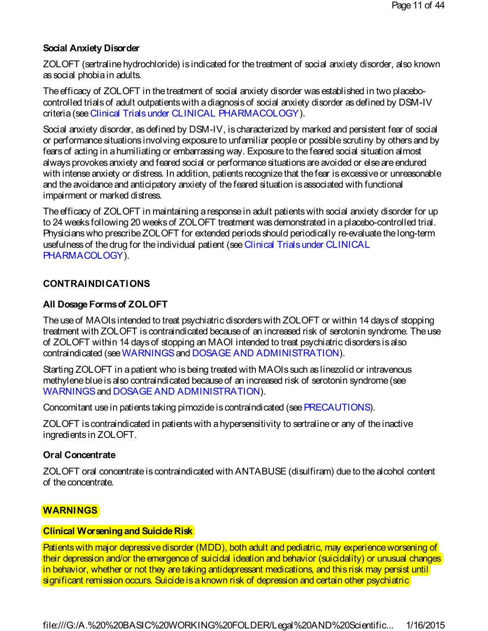# **Social Anxiety Disorder**

ZOLOFT (sertraline hydrochloride) is indicated for the treatment of social anxiety disorder, also known as social phobia in adults.

The efficacy of ZOLOFT in the treatment of social anxiety disorder was established in two placebocontrolled trials of adult outpatients with a diagnosis of social anxiety disorder as defined by DSM-IV criteria (seeClinical Trials under CLINICAL PHARMACOLOGY).

Social anxiety disorder, as defined by DSM-IV, is characterized by marked and persistent fear of social or performance situations involving exposure to unfamiliar people or possible scrutiny by others and by fears of acting in a humiliating or embarrassing way. Exposure to the feared social situation almost always provokes anxiety and feared social or performance situations are avoided or else are endured with intense anxiety or distress. In addition, patients recognize that the fear is excessive or unreasonable and the avoidance and anticipatory anxiety of the feared situation is associated with functional impairment or marked distress.

The efficacy of ZOLOFT in maintaining a response in adult patients with social anxiety disorder for up to 24 weeks following 20 weeks of ZOLOFT treatment was demonstrated in a placebo-controlled trial. Physicians who prescribe ZOLOFT for extended periods should periodically re-evaluate the long-term usefulness of the drug for the individual patient (see Clinical Trials under CLINICAL PHARMACOLOGY).

# **CONTRAINDICATIONS**

### **All Dosage Forms of ZOLOFT**

The use of MAOIs intended to treat psychiatric disorders with ZOLOFT or within 14 days of stopping treatment with ZOLOFT is contraindicated because of an increased risk of serotonin syndrome. The use of ZOLOFT within 14 days of stopping an MAOI intended to treat psychiatric disorders is also contraindicated (seeWARNINGS and DOSAGE AND ADMINISTRATION).

Starting ZOLOFT in a patient who is being treated with MAOIs such as linezolid or intravenous methylene blue is also contraindicated because of an increased risk of serotonin syndrome (see WARNINGS and DOSAGE AND ADMINISTRATION).

Concomitant use in patients taking pimozide is contraindicated (seePRECAUTIONS).

ZOLOFT is contraindicated in patients with a hypersensitivity to sertraline or any of the inactive ingredients in ZOLOFT.

### **Oral Concentrate**

ZOLOFT oral concentrate is contraindicated with ANTABUSE (disulfiram) due to the alcohol content of the concentrate.

# **WARNINGS**

#### **Clinical Worsening and Suicide Risk**

Patients with major depressive disorder (MDD), both adult and pediatric, may experience worsening of their depression and/or the emergence of suicidal ideation and behavior (suicidality) or unusual changes in behavior, whether or not they are taking antidepressant medications, and this risk may persist until significant remission occurs. Suicide is a known risk of depression and certain other psychiatric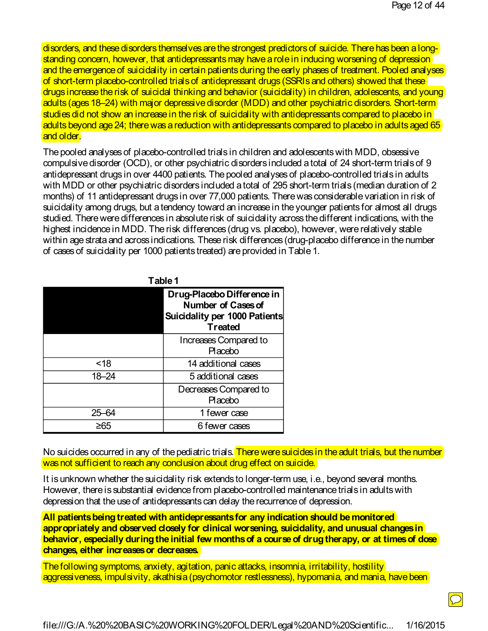disorders, and these disorders themselves are the strongest predictors of suicide. There has been a longstanding concern, however, that antidepressants may have a role in inducing worsening of depression and the emergence of suicidality in certain patients during the early phases of treatment. Pooled analyses of short-term placebo-controlled trials of antidepressant drugs (SSRIs and others) showed that these drugs increase the risk of suicidal thinking and behavior (suicidality) in children, adolescents, and young adults (ages 18–24) with major depressive disorder (MDD) and other psychiatric disorders. Short-term studies did not show an increase in the risk of suicidality with antidepressants compared to placebo in adults beyond age 24; there was a reduction with antidepressants compared to placebo in adults aged 65 and older.

The pooled analyses of placebo-controlled trials in children and adolescents with MDD, obsessive compulsive disorder (OCD), or other psychiatric disorders included a total of 24 short-term trials of 9 antidepressant drugs in over 4400 patients. The pooled analyses of placebo-controlled trials in adults with MDD or other psychiatric disorders included a total of 295 short-term trials (median duration of 2 months) of 11 antidepressant drugs in over 77,000 patients. There was considerable variation in risk of suicidality among drugs, but a tendency toward an increase in the younger patients for almost all drugs studied. There were differences in absolute risk of suicidality across the different indications, with the highest incidence in MDD. The risk differences (drug vs. placebo), however, were relatively stable within age strata and across indications. These risk differences (drug-placebo difference in the number of cases of suicidality per 1000 patients treated) are provided in Table 1.

| ו סוטוס ו |                                                                                                     |  |  |  |  |
|-----------|-----------------------------------------------------------------------------------------------------|--|--|--|--|
|           | Drug-Placebo Difference in<br>Number of Cases of<br>Suicidality per 1000 Patients<br><b>Treated</b> |  |  |  |  |
|           | <b>Increases Compared to</b><br>Placebo                                                             |  |  |  |  |
| < 18      | 14 additional cases                                                                                 |  |  |  |  |
| $18 - 24$ | 5 additional cases                                                                                  |  |  |  |  |
|           | Decreases Compared to<br>Placebo                                                                    |  |  |  |  |
| $25 - 64$ | 1 fewer case                                                                                        |  |  |  |  |
| ≥65       | 6 fewer cases                                                                                       |  |  |  |  |

**Table 1**

No suicides occurred in any of the pediatric trials. There were suicides in the adult trials, but the number was not sufficient to reach any conclusion about drug effect on suicide.

It is unknown whether the suicidality risk extends to longer-term use, i.e., beyond several months. However, there is substantial evidence from placebo-controlled maintenance trials in adults with depression that the use of antidepressants can delay the recurrence of depression.

**All patients being treated with antidepressants for any indication should be monitored appropriately and observed closely for clinical worsening, suicidality, and unusual changes in behavior, especially during the initial few months of a course of drug therapy, or at times of dose changes, either increases or decreases.**

The following symptoms, anxiety, agitation, panic attacks, insomnia, irritability, hostility aggressiveness, impulsivity, akathisia (psychomotor restlessness), hypomania, and mania, have been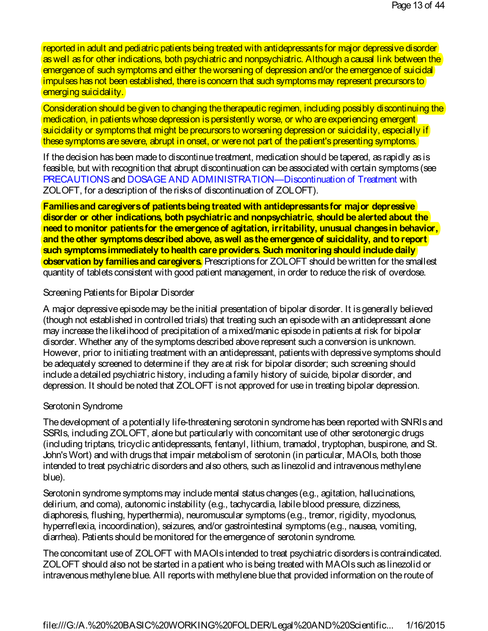reported in adult and pediatric patients being treated with antidepressants for major depressive disorder as well as for other indications, both psychiatric and nonpsychiatric. Although a causal link between the emergence of such symptoms and either the worsening of depression and/or the emergence of suicidal impulses has not been established, there is concern that such symptoms may represent precursors to emerging suicidality.

Consideration should be given to changing the therapeutic regimen, including possibly discontinuing the medication, in patients whose depression is persistently worse, or who are experiencing emergent suicidality or symptoms that might be precursors to worsening depression or suicidality, especially if these symptoms are severe, abrupt in onset, or were not part of the patient's presenting symptoms.

If the decision has been made to discontinue treatment, medication should be tapered, as rapidly as is feasible, but with recognition that abrupt discontinuation can be associated with certain symptoms (see PRECAUTIONS and DOSAGE AND ADMINISTRATION—Discontinuation of Treatment with ZOLOFT, for a description of the risks of discontinuation of ZOLOFT).

**Families and caregivers of patients being treated with antidepressants for major depressive disorder or other indications, both psychiatric and nonpsychiatric**, **should be alerted about the need to monitor patients for the emergence of agitation, irritability, unusual changes in behavior, and the other symptoms described above, as well as the emergence of suicidality, and to report such symptoms immediately to health care providers. Such monitoring should include daily observation by families and caregivers.** Prescriptions for ZOLOFT should be written for the smallest quantity of tablets consistent with good patient management, in order to reduce the risk of overdose.

#### Screening Patients for Bipolar Disorder

A major depressive episode may be the initial presentation of bipolar disorder. It is generally believed (though not established in controlled trials) that treating such an episode with an antidepressant alone may increase the likelihood of precipitation of a mixed/manic episode in patients at risk for bipolar disorder. Whether any of the symptoms described above represent such a conversion is unknown. However, prior to initiating treatment with an antidepressant, patients with depressive symptoms should be adequately screened to determine if they are at risk for bipolar disorder; such screening should include a detailed psychiatric history, including a family history of suicide, bipolar disorder, and depression. It should be noted that ZOLOFT is not approved for use in treating bipolar depression.

#### Serotonin Syndrome

The development of a potentially life-threatening serotonin syndrome has been reported with SNRIs and SSRIs, including ZOLOFT, alone but particularly with concomitant use of other serotonergic drugs (including triptans, tricyclic antidepressants, fentanyl, lithium, tramadol, tryptophan, buspirone, and St. John's Wort) and with drugs that impair metabolism of serotonin (in particular, MAOIs, both those intended to treat psychiatric disorders and also others, such as linezolid and intravenous methylene blue).

Serotonin syndrome symptoms may include mental status changes (e.g., agitation, hallucinations, delirium, and coma), autonomic instability (e.g., tachycardia, labile blood pressure, dizziness, diaphoresis, flushing, hyperthermia), neuromuscular symptoms (e.g., tremor, rigidity, myoclonus, hyperreflexia, incoordination), seizures, and/or gastrointestinal symptoms (e.g., nausea, vomiting, diarrhea). Patients should be monitored for the emergence of serotonin syndrome.

The concomitant use of ZOLOFT with MAOIs intended to treat psychiatric disorders is contraindicated. ZOLOFT should also not be started in a patient who is being treated with MAOIs such as linezolid or intravenous methylene blue. All reports with methylene blue that provided information on the route of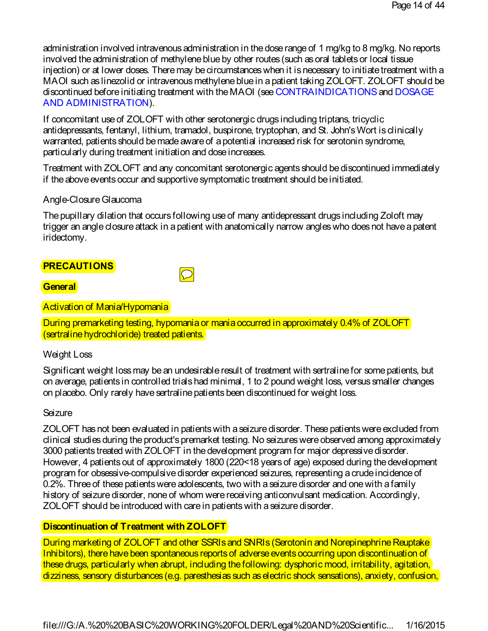administration involved intravenous administration in the dose range of 1 mg/kg to 8 mg/kg. No reports involved the administration of methylene blue by other routes (such as oral tablets or local tissue injection) or at lower doses. There may be circumstances when it is necessary to initiate treatment with a MAOI such as linezolid or intravenous methylene blue in a patient taking ZOLOFT. ZOLOFT should be discontinued before initiating treatment with the MAOI (see CONTRAINDICATIONS and DOSAGE AND ADMINISTRATION).

If concomitant use of ZOLOFT with other serotonergic drugs including triptans, tricyclic antidepressants, fentanyl, lithium, tramadol, buspirone, tryptophan, and St. John's Wort is clinically warranted, patients should be made aware of a potential increased risk for serotonin syndrome, particularly during treatment initiation and dose increases.

Treatment with ZOLOFT and any concomitant serotonergic agents should be discontinued immediately if the above events occur and supportive symptomatic treatment should be initiated.

### Angle-Closure Glaucoma

The pupillary dilation that occurs following use of many antidepressant drugs including Zoloft may trigger an angle closure attack in a patient with anatomically narrow angles who does not have a patent iridectomy.

# **PRECAUTIONS**

| ٠<br>٠ |
|--------|
|--------|

#### **General**

Activation of Mania/Hypomania

During premarketing testing, hypomania or mania occurred in approximately 0.4% of ZOLOFT (sertraline hydrochloride) treated patients.

### Weight Loss

Significant weight loss may be an undesirable result of treatment with sertraline for some patients, but on average, patients in controlled trials had minimal, 1 to 2 pound weight loss, versus smaller changes on placebo. Only rarely have sertraline patients been discontinued for weight loss.

### **Seizure**

ZOLOFT has not been evaluated in patients with a seizure disorder. These patients were excluded from clinical studies during the product's premarket testing. No seizures were observed among approximately 3000 patients treated with ZOLOFT in the development program for major depressive disorder. However, 4 patients out of approximately 1800 (220<18 years of age) exposed during the development program for obsessive-compulsive disorder experienced seizures, representing a crude incidence of 0.2%. Three of these patients were adolescents, two with a seizure disorder and one with a family history of seizure disorder, none of whom were receiving anticonvulsant medication. Accordingly, ZOLOFT should be introduced with care in patients with a seizure disorder.

### **Discontinuation of Treatment with ZOLOFT**

During marketing of ZOLOFT and other SSRIs and SNRIs (Serotonin and Norepinephrine Reuptake Inhibitors), there have been spontaneous reports of adverse events occurring upon discontinuation of these drugs, particularly when abrupt, including the following: dysphoric mood, irritability, agitation, dizziness, sensory disturbances (e.g. paresthesias such as electric shock sensations), anxiety, confusion,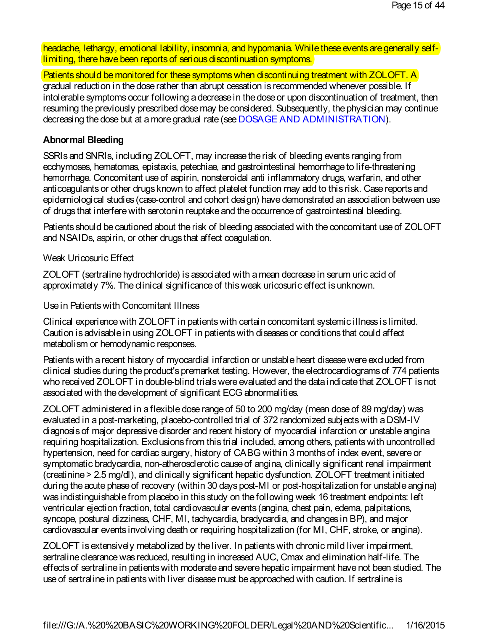headache, lethargy, emotional lability, insomnia, and hypomania. While these events are generally selflimiting, there have been reports of serious discontinuation symptoms.

Patients should be monitored for these symptoms when discontinuing treatment with ZOLOFT. A gradual reduction in the dose rather than abrupt cessation is recommended whenever possible. If intolerable symptoms occur following a decrease in the dose or upon discontinuation of treatment, then resuming the previously prescribed dose may be considered. Subsequently, the physician may continue decreasing the dose but at a more gradual rate (see DOSAGE AND ADMINISTRATION).

#### **Abnormal Bleeding**

SSRIs and SNRIs, including ZOLOFT, may increase the risk of bleeding events ranging from ecchymoses, hematomas, epistaxis, petechiae, and gastrointestinal hemorrhage to life-threatening hemorrhage. Concomitant use of aspirin, nonsteroidal anti inflammatory drugs, warfarin, and other anticoagulants or other drugs known to affect platelet function may add to this risk. Case reports and epidemiological studies (case-control and cohort design) have demonstrated an association between use of drugs that interfere with serotonin reuptake and the occurrence of gastrointestinal bleeding.

Patients should be cautioned about the risk of bleeding associated with the concomitant use of ZOLOFT and NSAIDs, aspirin, or other drugs that affect coagulation.

#### Weak Uricosuric Effect

ZOLOFT (sertraline hydrochloride) is associated with a mean decrease in serum uric acid of approximately 7%. The clinical significance of this weak uricosuric effect is unknown.

Use in Patients with Concomitant Illness

Clinical experience with ZOLOFT in patients with certain concomitant systemic illness is limited. Caution is advisable in using ZOLOFT in patients with diseases or conditions that could affect metabolism or hemodynamic responses.

Patients with a recent history of myocardial infarction or unstable heart disease were excluded from clinical studies during the product's premarket testing. However, the electrocardiograms of 774 patients who received ZOLOFT in double-blind trials were evaluated and the data indicate that ZOLOFT is not associated with the development of significant ECG abnormalities.

ZOLOFT administered in a flexible dose range of 50 to 200 mg/day (mean dose of 89 mg/day) was evaluated in a post-marketing, placebo-controlled trial of 372 randomized subjects with a DSM-IV diagnosis of major depressive disorder and recent history of myocardial infarction or unstable angina requiring hospitalization. Exclusions from this trial included, among others, patients with uncontrolled hypertension, need for cardiac surgery, history of CABG within 3 months of index event, severe or symptomatic bradycardia, non-atherosclerotic cause of angina, clinically significant renal impairment (creatinine > 2.5 mg/dl), and clinically significant hepatic dysfunction. ZOLOFT treatment initiated during the acute phase of recovery (within 30 days post-MI or post-hospitalization for unstable angina) was indistinguishable from placebo in this study on the following week 16 treatment endpoints: left ventricular ejection fraction, total cardiovascular events (angina, chest pain, edema, palpitations, syncope, postural dizziness, CHF, MI, tachycardia, bradycardia, and changes in BP), and major cardiovascular events involving death or requiring hospitalization (for MI, CHF, stroke, or angina).

ZOLOFT is extensively metabolized by the liver. In patients with chronic mild liver impairment, sertraline clearance was reduced, resulting in increased AUC, Cmax and elimination half-life. The effects of sertraline in patients with moderate and severe hepatic impairment have not been studied. The use of sertraline in patients with liver disease must be approached with caution. If sertraline is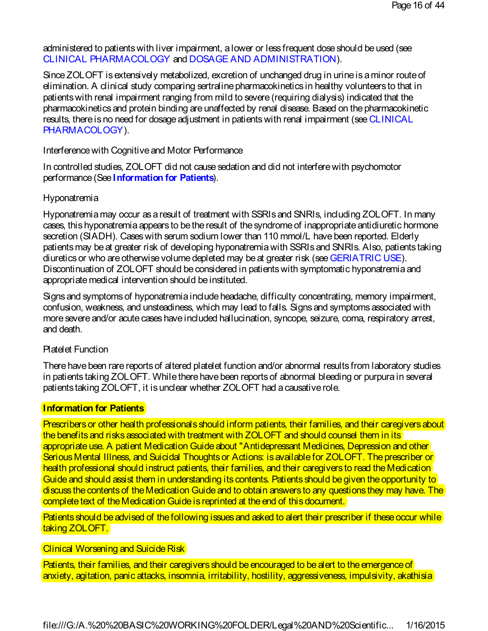administered to patients with liver impairment, a lower or less frequent dose should be used (see CLINICAL PHARMACOLOGY and DOSAGE AND ADMINISTRATION).

Since ZOLOFT is extensively metabolized, excretion of unchanged drug in urine is a minor route of elimination. A clinical study comparing sertraline pharmacokinetics in healthy volunteers to that in patients with renal impairment ranging from mild to severe (requiring dialysis) indicated that the pharmacokinetics and protein binding are unaffected by renal disease. Based on the pharmacokinetic results, there is no need for dosage adjustment in patients with renal impairment (see CLINICAL PHARMACOLOGY).

Interference with Cognitive and Motor Performance

In controlled studies, ZOLOFT did not cause sedation and did not interfere with psychomotor performance (See**Information for Patients**).

#### **Hyponatremia**

Hyponatremia may occur as a result of treatment with SSRIs and SNRIs, including ZOLOFT. In many cases, this hyponatremia appears to be the result of the syndrome of inappropriate antidiuretic hormone secretion (SIADH). Cases with serum sodium lower than 110 mmol/L have been reported. Elderly patients may be at greater risk of developing hyponatremia with SSRIs and SNRIs. Also, patients taking diuretics or who are otherwise volume depleted may be at greater risk (see GERIATRIC USE). Discontinuation of ZOLOFT should be considered in patients with symptomatic hyponatremia and appropriate medical intervention should be instituted.

Signs and symptoms of hyponatremia include headache, difficulty concentrating, memory impairment, confusion, weakness, and unsteadiness, which may lead to falls. Signs and symptoms associated with more severe and/or acute cases have included hallucination, syncope, seizure, coma, respiratory arrest, and death.

#### Platelet Function

There have been rare reports of altered platelet function and/or abnormal results from laboratory studies in patients taking ZOLOFT. While there have been reports of abnormal bleeding or purpura in several patients taking ZOLOFT, it is unclear whether ZOLOFT had a causative role.

### **Information for Patients**

Prescribers or other health professionals should inform patients, their families, and their caregivers about the benefits and risks associated with treatment with ZOLOFT and should counsel them in its appropriate use. A patient Medication Guide about "Antidepressant Medicines, Depression and other Serious Mental Illness, and Suicidal Thoughts or Actions: is available for ZOLOFT. The prescriber or health professional should instruct patients, their families, and their caregivers to read the Medication Guide and should assist them in understanding its contents. Patients should be given the opportunity to discuss the contents of the Medication Guide and to obtain answers to any questions they may have. The complete text of the Medication Guide is reprinted at the end of this document.

Patients should be advised of the following issues and asked to alert their prescriber if these occur while taking ZOLOFT.

#### Clinical Worsening and Suicide Risk

Patients, their families, and their caregivers should be encouraged to be alert to the emergence of anxiety, agitation, panic attacks, insomnia, irritability, hostility, aggressiveness, impulsivity, akathisia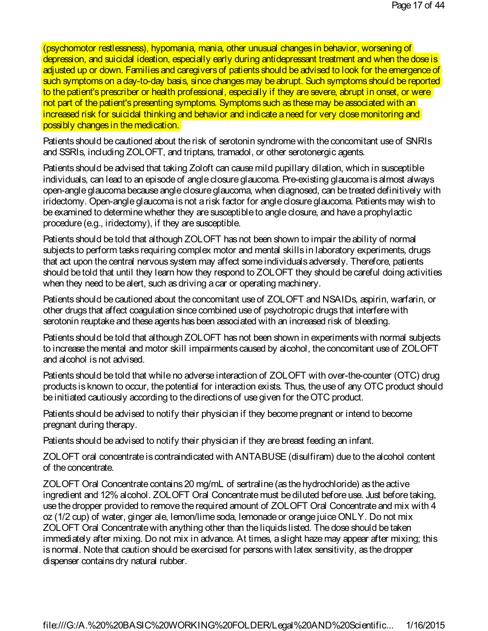(psychomotor restlessness), hypomania, mania, other unusual changes in behavior, worsening of depression, and suicidal ideation, especially early during antidepressant treatment and when the dose is adjusted up or down. Families and caregivers of patients should be advised to look for the emergence of such symptoms on a day-to-day basis, since changes may be abrupt. Such symptoms should be reported to the patient's prescriber or health professional, especially if they are severe, abrupt in onset, or were not part of the patient's presenting symptoms. Symptoms such as these may be associated with an increased risk for suicidal thinking and behavior and indicate a need for very close monitoring and possibly changes in the medication.

Patients should be cautioned about the risk of serotonin syndrome with the concomitant use of SNRIs and SSRIs, including ZOLOFT, and triptans, tramadol, or other serotonergic agents.

Patients should be advised that taking Zoloft can cause mild pupillary dilation, which in susceptible individuals, can lead to an episode of angle closure glaucoma. Pre-existing glaucoma is almost always open-angle glaucoma because angle closure glaucoma, when diagnosed, can be treated definitively with iridectomy. Open-angle glaucoma is not a risk factor for angle closure glaucoma. Patients may wish to be examined to determine whether they are susceptible to angle closure, and have a prophylactic procedure (e.g., iridectomy), if they are susceptible.

Patients should be told that although ZOLOFT has not been shown to impair the ability of normal subjects to perform tasks requiring complex motor and mental skills in laboratory experiments, drugs that act upon the central nervous system may affect some individuals adversely. Therefore, patients should be told that until they learn how they respond to ZOLOFT they should be careful doing activities when they need to be alert, such as driving a car or operating machinery.

Patients should be cautioned about the concomitant use of ZOLOFT and NSAIDs, aspirin, warfarin, or other drugs that affect coagulation since combined use of psychotropic drugs that interfere with serotonin reuptake and these agents has been associated with an increased risk of bleeding.

Patients should be told that although ZOLOFT has not been shown in experiments with normal subjects to increase the mental and motor skill impairments caused by alcohol, the concomitant use of ZOLOFT and alcohol is not advised.

Patients should be told that while no adverse interaction of ZOLOFT with over-the-counter (OTC) drug products is known to occur, the potential for interaction exists. Thus, the use of any OTC product should be initiated cautiously according to the directions of use given for the OTC product.

Patients should be advised to notify their physician if they become pregnant or intend to become pregnant during therapy.

Patients should be advised to notify their physician if they are breast feeding an infant.

ZOLOFT oral concentrate is contraindicated with ANTABUSE (disulfiram) due to the alcohol content of the concentrate.

ZOLOFT Oral Concentrate contains 20 mg/mL of sertraline (as the hydrochloride) as the active ingredient and 12% alcohol. ZOLOFT Oral Concentrate must be diluted before use. Just before taking, use the dropper provided to remove the required amount of ZOLOFT Oral Concentrate and mix with 4 oz (1/2 cup) of water, ginger ale, lemon/lime soda, lemonade or orange juice ONLY. Do not mix ZOLOFT Oral Concentrate with anything other than the liquids listed. The dose should be taken immediately after mixing. Do not mix in advance. At times, a slight haze may appear after mixing; this is normal. Note that caution should be exercised for persons with latex sensitivity, as the dropper dispenser contains dry natural rubber.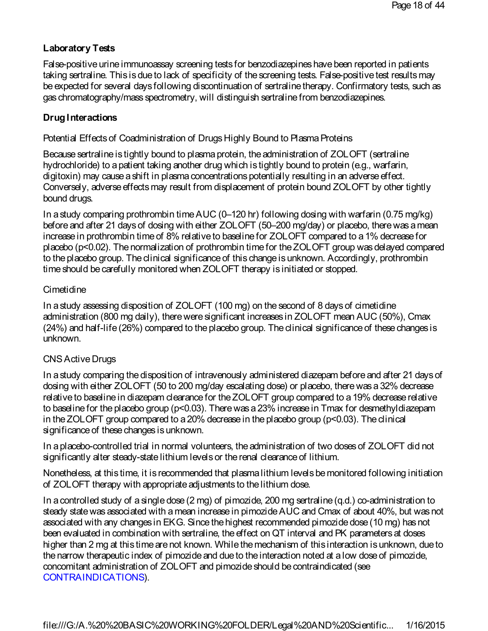# **Laboratory Tests**

False-positive urine immunoassay screening tests for benzodiazepines have been reported in patients taking sertraline. This is due to lack of specificity of the screening tests. False-positive test results may be expected for several days following discontinuation of sertraline therapy. Confirmatory tests, such as gas chromatography/mass spectrometry, will distinguish sertraline from benzodiazepines.

# **Drug Interactions**

### Potential Effects of Coadministration of Drugs Highly Bound to Plasma Proteins

Because sertraline is tightly bound to plasma protein, the administration of ZOLOFT (sertraline hydrochloride) to a patient taking another drug which is tightly bound to protein (e.g., warfarin, digitoxin) may cause a shift in plasma concentrations potentially resulting in an adverse effect. Conversely, adverse effects may result from displacement of protein bound ZOLOFT by other tightly bound drugs.

In a study comparing prothrombin time AUC (0–120 hr) following dosing with warfarin (0.75 mg/kg) before and after 21 days of dosing with either ZOLOFT (50–200 mg/day) or placebo, there was a mean increase in prothrombin time of 8% relative to baseline for ZOLOFT compared to a 1% decrease for placebo (p<0.02). The normalization of prothrombin time for the ZOLOFT group was delayed compared to the placebo group. The clinical significance of this change is unknown. Accordingly, prothrombin time should be carefully monitored when ZOLOFT therapy is initiated or stopped.

### **Cimetidine**

In a study assessing disposition of ZOLOFT (100 mg) on the second of 8 days of cimetidine administration (800 mg daily), there were significant increases in ZOLOFT mean AUC (50%), Cmax (24%) and half-life (26%) compared to the placebo group. The clinical significance of these changes is unknown.

### CNS Active Drugs

In a study comparing the disposition of intravenously administered diazepam before and after 21 days of dosing with either ZOLOFT (50 to 200 mg/day escalating dose) or placebo, there was a 32% decrease relative to baseline in diazepam clearance for the ZOLOFT group compared to a 19% decrease relative to baseline for the placebo group (p<0.03). There was a 23% increase in Tmax for desmethyldiazepam in the ZOLOFT group compared to a 20% decrease in the placebo group (p<0.03). The clinical significance of these changes is unknown.

In a placebo-controlled trial in normal volunteers, the administration of two doses of ZOLOFT did not significantly alter steady-state lithium levels or the renal clearance of lithium.

Nonetheless, at this time, it is recommended that plasma lithium levels be monitored following initiation of ZOLOFT therapy with appropriate adjustments to the lithium dose.

In a controlled study of a single dose (2 mg) of pimozide, 200 mg sertraline (q.d.) co-administration to steady state was associated with a mean increase in pimozide AUC and Cmax of about 40%, but was not associated with any changes in EKG. Since the highest recommended pimozide dose (10 mg) has not been evaluated in combination with sertraline, the effect on QT interval and PK parameters at doses higher than 2 mg at this time are not known. While the mechanism of this interaction is unknown, due to the narrow therapeutic index of pimozide and due to the interaction noted at a low dose of pimozide, concomitant administration of ZOLOFT and pimozide should be contraindicated (see CONTRAINDICATIONS).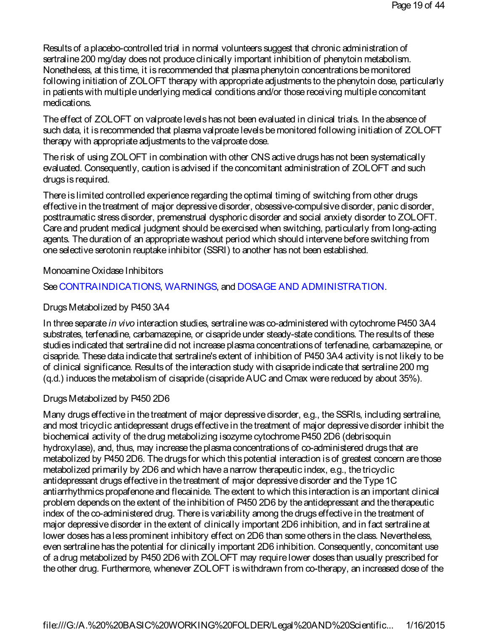Results of a placebo-controlled trial in normal volunteers suggest that chronic administration of sertraline 200 mg/day does not produce clinically important inhibition of phenytoin metabolism. Nonetheless, at this time, it is recommended that plasma phenytoin concentrations be monitored following initiation of ZOLOFT therapy with appropriate adjustments to the phenytoin dose, particularly in patients with multiple underlying medical conditions and/or those receiving multiple concomitant medications.

The effect of ZOLOFT on valproate levels has not been evaluated in clinical trials. In the absence of such data, it is recommended that plasma valproate levels be monitored following initiation of ZOLOFT therapy with appropriate adjustments to the valproate dose.

The risk of using ZOLOFT in combination with other CNS active drugs has not been systematically evaluated. Consequently, caution is advised if the concomitant administration of ZOLOFT and such drugs is required.

There is limited controlled experience regarding the optimal timing of switching from other drugs effective in the treatment of major depressive disorder, obsessive-compulsive disorder, panic disorder, posttraumatic stress disorder, premenstrual dysphoric disorder and social anxiety disorder to ZOLOFT. Care and prudent medical judgment should be exercised when switching, particularly from long-acting agents. The duration of an appropriate washout period which should intervene before switching from one selective serotonin reuptake inhibitor (SSRI) to another has not been established.

# Monoamine Oxidase Inhibitors

# See CONTRAINDICATIONS, WARNINGS, and DOSAGE AND ADMINISTRATION.

# Drugs Metabolized by P450 3A4

In three separate*in vivo* interaction studies, sertraline was co-administered with cytochrome P450 3A4 substrates, terfenadine, carbamazepine, or cisapride under steady-state conditions. The results of these studies indicated that sertraline did not increase plasma concentrations of terfenadine, carbamazepine, or cisapride. These data indicate that sertraline's extent of inhibition of P450 3A4 activity is not likely to be of clinical significance. Results of the interaction study with cisapride indicate that sertraline 200 mg (q.d.) induces the metabolism of cisapride (cisapride AUC and Cmax were reduced by about 35%).

# Drugs Metabolized by P450 2D6

Many drugs effective in the treatment of major depressive disorder, e.g., the SSRIs, including sertraline, and most tricyclic antidepressant drugs effective in the treatment of major depressive disorder inhibit the biochemical activity of the drug metabolizing isozyme cytochrome P450 2D6 (debrisoquin hydroxylase), and, thus, may increase the plasma concentrations of co-administered drugs that are metabolized by P450 2D6. The drugs for which this potential interaction is of greatest concern are those metabolized primarily by 2D6 and which have a narrow therapeutic index, e.g., the tricyclic antidepressant drugs effective in the treatment of major depressive disorder and the Type 1C antiarrhythmics propafenone and flecainide. The extent to which this interaction is an important clinical problem depends on the extent of the inhibition of P450 2D6 by the antidepressant and the therapeutic index of the co-administered drug. There is variability among the drugs effective in the treatment of major depressive disorder in the extent of clinically important 2D6 inhibition, and in fact sertraline at lower doses has a less prominent inhibitory effect on 2D6 than some others in the class. Nevertheless, even sertraline has the potential for clinically important 2D6 inhibition. Consequently, concomitant use of a drug metabolized by P450 2D6 with ZOLOFT may require lower doses than usually prescribed for the other drug. Furthermore, whenever ZOLOFT is withdrawn from co-therapy, an increased dose of the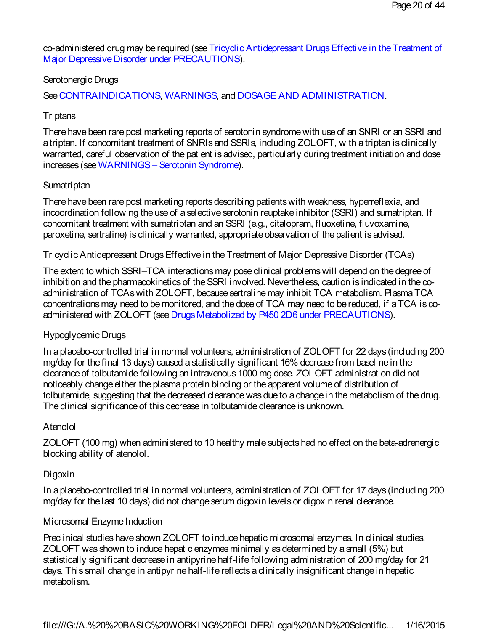co-administered drug may be required (seeTricyclic Antidepressant Drugs Effective in the Treatment of Major Depressive Disorder under PRECAUTIONS).

#### Serotonergic Drugs

SeeCONTRAINDICATIONS, WARNINGS, and DOSAGE AND ADMINISTRATION.

## **Triptans**

There have been rare post marketing reports of serotonin syndrome with use of an SNRI or an SSRI and a triptan. If concomitant treatment of SNRIs and SSRIs, including ZOLOFT, with a triptan is clinically warranted, careful observation of the patient is advised, particularly during treatment initiation and dose increases (seeWARNINGS – Serotonin Syndrome).

### **Sumatriptan**

There have been rare post marketing reports describing patients with weakness, hyperreflexia, and incoordination following the use of a selective serotonin reuptake inhibitor (SSRI) and sumatriptan. If concomitant treatment with sumatriptan and an SSRI (e.g., citalopram, fluoxetine, fluvoxamine, paroxetine, sertraline) is clinically warranted, appropriate observation of the patient is advised.

Tricyclic Antidepressant Drugs Effective in the Treatment of Major Depressive Disorder (TCAs)

The extent to which SSRI–TCA interactions may pose clinical problems will depend on the degree of inhibition and the pharmacokinetics of the SSRI involved. Nevertheless, caution is indicated in the coadministration of TCAs with ZOLOFT, because sertraline may inhibit TCA metabolism. Plasma TCA concentrations may need to be monitored, and the dose of TCA may need to be reduced, if a TCA is coadministered with ZOLOFT (see Drugs Metabolized by P450 2D6 under PRECAUTIONS).

### Hypoglycemic Drugs

In a placebo-controlled trial in normal volunteers, administration of ZOLOFT for 22 days (including 200 mg/day for the final 13 days) caused a statistically significant 16% decrease from baseline in the clearance of tolbutamide following an intravenous 1000 mg dose. ZOLOFT administration did not noticeably change either the plasma protein binding or the apparent volume of distribution of tolbutamide, suggesting that the decreased clearance was due to a change in the metabolism of the drug. The clinical significance of this decrease in tolbutamide clearance is unknown.

### Atenolol

ZOLOFT (100 mg) when administered to 10 healthy male subjects had no effect on the beta-adrenergic blocking ability of atenolol.

#### Digoxin

In a placebo-controlled trial in normal volunteers, administration of ZOLOFT for 17 days (including 200 mg/day for the last 10 days) did not change serum digoxin levels or digoxin renal clearance.

#### Microsomal Enzyme Induction

Preclinical studies have shown ZOLOFT to induce hepatic microsomal enzymes. In clinical studies, ZOLOFT was shown to induce hepatic enzymes minimally as determined by a small (5%) but statistically significant decrease in antipyrine half-life following administration of 200 mg/day for 21 days. This small change in antipyrine half-life reflects a clinically insignificant change in hepatic metabolism.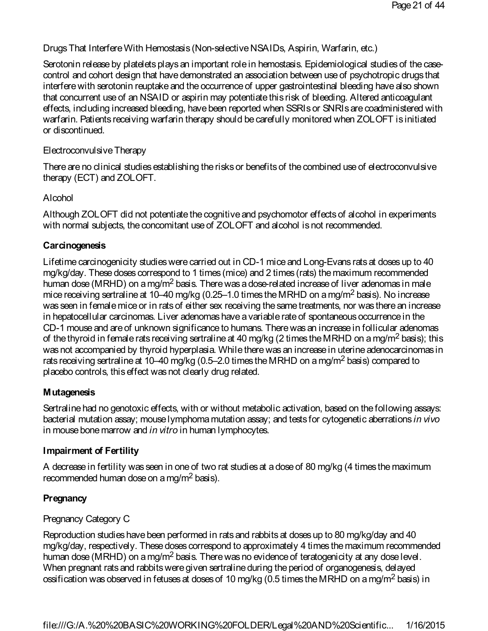Drugs That Interfere With Hemostasis (Non-selective NSAIDs, Aspirin, Warfarin, etc.)

Serotonin release by platelets plays an important role in hemostasis. Epidemiological studies of the casecontrol and cohort design that have demonstrated an association between use of psychotropic drugs that interfere with serotonin reuptake and the occurrence of upper gastrointestinal bleeding have also shown that concurrent use of an NSAID or aspirin may potentiate this risk of bleeding. Altered anticoagulant effects, including increased bleeding, have been reported when SSRIs or SNRIs are coadministered with warfarin. Patients receiving warfarin therapy should be carefully monitored when ZOLOFT is initiated or discontinued.

# Electroconvulsive Therapy

There are no clinical studies establishing the risks or benefits of the combined use of electroconvulsive therapy (ECT) and ZOLOFT.

# Alcohol

Although ZOLOFT did not potentiate the cognitive and psychomotor effects of alcohol in experiments with normal subjects, the concomitant use of ZOLOFT and alcohol is not recommended.

# **Carcinogenesis**

Lifetime carcinogenicity studies were carried out in CD-1 mice and Long-Evans rats at doses up to 40 mg/kg/day. These doses correspond to 1 times (mice) and 2 times (rats) the maximum recommended human dose (MRHD) on a mg/m<sup>2</sup> basis. There was a dose-related increase of liver adenomas in male mice receiving sertraline at 10–40 mg/kg (0.25–1.0 times the MRHD on a mg/m<sup>2</sup> basis). No increase was seen in female mice or in rats of either sex receiving the same treatments, nor was there an increase in hepatocellular carcinomas. Liver adenomas have a variable rate of spontaneous occurrence in the CD-1 mouse and are of unknown significance to humans. There was an increase in follicular adenomas of the thyroid in female rats receiving sertraline at 40 mg/kg (2 times the MRHD on a mg/m<sup>2</sup> basis); this was not accompanied by thyroid hyperplasia. While there was an increase in uterine adenocarcinomas in rats receiving sertraline at 10–40 mg/kg (0.5–2.0 times the MRHD on a mg/m<sup>2</sup> basis) compared to placebo controls, this effect was not clearly drug related.

### **Mutagenesis**

Sertraline had no genotoxic effects, with or without metabolic activation, based on the following assays: bacterial mutation assay; mouse lymphoma mutation assay; and tests for cytogenetic aberrations *in vivo* in mouse bone marrow and *in vitro* in human lymphocytes.

### **Impairment of Fertility**

A decrease in fertility was seen in one of two rat studies at a dose of 80 mg/kg (4 times the maximum recommended human dose on a mg/m<sup>2</sup> basis).

### **Pregnancy**

### Pregnancy Category C

Reproduction studies have been performed in rats and rabbits at doses up to 80 mg/kg/day and 40 mg/kg/day, respectively. These doses correspond to approximately 4 times the maximum recommended human dose (MRHD) on a mg/m<sup>2</sup> basis. There was no evidence of teratogenicity at any dose level. When pregnant rats and rabbits were given sertraline during the period of organogenesis, delayed ossification was observed in fetuses at doses of 10 mg/kg (0.5 times the MRHD on a mg/m<sup>2</sup> basis) in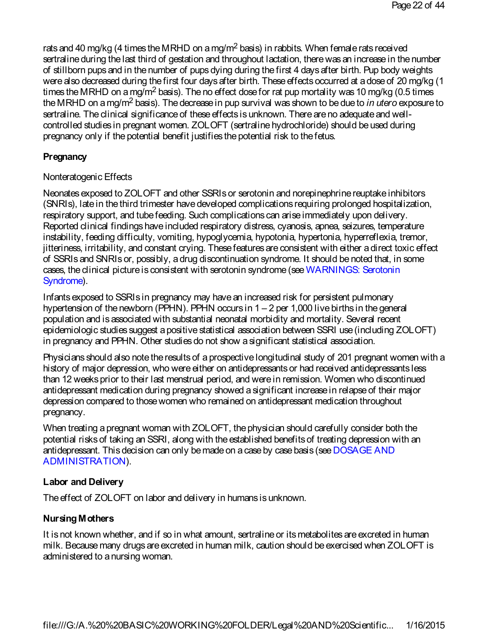rats and 40 mg/kg (4 times the MRHD on a mg/m<sup>2</sup> basis) in rabbits. When female rats received sertraline during the last third of gestation and throughout lactation, there was an increase in the number of stillborn pups and in the number of pups dying during the first 4 days after birth. Pup body weights were also decreased during the first four days after birth. These effects occurred at a dose of 20 mg/kg (1 times the MRHD on a mg/m<sup>2</sup> basis). The no effect dose for rat pup mortality was 10 mg/kg (0.5 times the MRHD on a mg/m<sup>2</sup> basis). The decrease in pup survival was shown to be due to *in utero* exposure to sertraline. The clinical significance of these effects is unknown. There are no adequate and wellcontrolled studies in pregnant women. ZOLOFT (sertraline hydrochloride) should be used during pregnancy only if the potential benefit justifies the potential risk to the fetus.

# **Pregnancy**

# Nonteratogenic Effects

Neonates exposed to ZOLOFT and other SSRIs or serotonin and norepinephrine reuptake inhibitors (SNRIs), late in the third trimester have developed complications requiring prolonged hospitalization, respiratory support, and tube feeding. Such complications can arise immediately upon delivery. Reported clinical findings have included respiratory distress, cyanosis, apnea, seizures, temperature instability, feeding difficulty, vomiting, hypoglycemia, hypotonia, hypertonia, hyperreflexia, tremor, jitteriness, irritability, and constant crying. These features are consistent with either a direct toxic effect of SSRIs and SNRIs or, possibly, a drug discontinuation syndrome. It should be noted that, in some cases, the clinical picture is consistent with serotonin syndrome (see WARNINGS: Serotonin Syndrome).

Infants exposed to SSRIs in pregnancy may have an increased risk for persistent pulmonary hypertension of the newborn (PPHN). PPHN occurs in 1 – 2 per 1,000 live births in the general population and is associated with substantial neonatal morbidity and mortality. Several recent epidemiologic studies suggest a positive statistical association between SSRI use (including ZOLOFT) in pregnancy and PPHN. Other studies do not show a significant statistical association.

Physicians should also note the results of a prospective longitudinal study of 201 pregnant women with a history of major depression, who were either on antidepressants or had received antidepressants less than 12 weeks prior to their last menstrual period, and were in remission. Women who discontinued antidepressant medication during pregnancy showed a significant increase in relapse of their major depression compared to those women who remained on antidepressant medication throughout pregnancy.

When treating a pregnant woman with ZOLOFT, the physician should carefully consider both the potential risks of taking an SSRI, along with the established benefits of treating depression with an antidepressant. This decision can only be made on a case by case basis (see DOSAGE AND ADMINISTRATION).

### **Labor and Delivery**

The effect of ZOLOFT on labor and delivery in humans is unknown.

# **Nursing Mothers**

It is not known whether, and if so in what amount, sertraline or its metabolites are excreted in human milk. Because many drugs are excreted in human milk, caution should be exercised when ZOLOFT is administered to a nursing woman.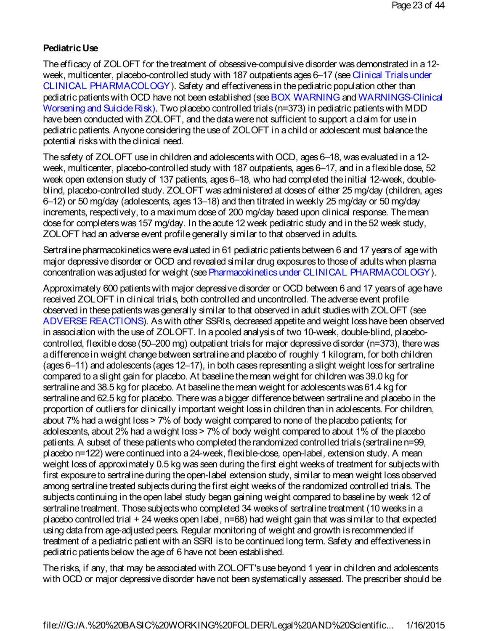# **Pediatric Use**

The efficacy of ZOLOFT for the treatment of obsessive-compulsive disorder was demonstrated in a 12 week, multicenter, placebo-controlled study with 187 outpatients ages 6–17 (see Clinical Trials under CLINICAL PHARMACOLOGY). Safety and effectiveness in the pediatric population other than pediatric patients with OCD have not been established (see BOX WARNING and WARNINGS-Clinical Worsening and Suicide Risk). Two placebo controlled trials (n=373) in pediatric patients with MDD have been conducted with ZOLOFT, and the data were not sufficient to support a claim for use in pediatric patients. Anyone considering the use of ZOLOFT in a child or adolescent must balance the potential risks with the clinical need.

The safety of ZOLOFT use in children and adolescents with OCD, ages 6–18, was evaluated in a 12 week, multicenter, placebo-controlled study with 187 outpatients, ages 6–17, and in a flexible dose, 52 week open extension study of 137 patients, ages 6-18, who had completed the initial 12-week, doubleblind, placebo-controlled study. ZOLOFT was administered at doses of either 25 mg/day (children, ages 6–12) or 50 mg/day (adolescents, ages 13–18) and then titrated in weekly 25 mg/day or 50 mg/day increments, respectively, to a maximum dose of 200 mg/day based upon clinical response. The mean dose for completers was 157 mg/day. In the acute 12 week pediatric study and in the 52 week study, ZOLOFT had an adverse event profile generally similar to that observed in adults.

Sertraline pharmacokinetics were evaluated in 61 pediatric patients between 6 and 17 years of age with major depressive disorder or OCD and revealed similar drug exposures to those of adults when plasma concentration was adjusted for weight (seePharmacokinetics under CLINICAL PHARMACOLOGY).

Approximately 600 patients with major depressive disorder or OCD between 6 and 17 years of age have received ZOLOFT in clinical trials, both controlled and uncontrolled. The adverse event profile observed in these patients was generally similar to that observed in adult studies with ZOLOFT (see ADVERSE REACTIONS). As with other SSRIs, decreased appetite and weight loss have been observed in association with the use of ZOLOFT. In a pooled analysis of two 10-week, double-blind, placebocontrolled, flexible dose (50–200 mg) outpatient trials for major depressive disorder (n=373), there was a difference in weight change between sertraline and placebo of roughly 1 kilogram, for both children (ages 6–11) and adolescents (ages 12–17), in both cases representing a slight weight loss for sertraline compared to a slight gain for placebo. At baseline the mean weight for children was 39.0 kg for sertraline and 38.5 kg for placebo. At baseline the mean weight for adolescents was 61.4 kg for sertraline and 62.5 kg for placebo. There was a bigger difference between sertraline and placebo in the proportion of outliers for clinically important weight loss in children than in adolescents. For children, about 7% had a weight loss > 7% of body weight compared to none of the placebo patients; for adolescents, about 2% had a weight loss > 7% of body weight compared to about 1% of the placebo patients. A subset of these patients who completed the randomized controlled trials (sertraline n=99, placebo n=122) were continued into a 24-week, flexible-dose, open-label, extension study. A mean weight loss of approximately 0.5 kg was seen during the first eight weeks of treatment for subjects with first exposure to sertraline during the open-label extension study, similar to mean weight loss observed among sertraline treated subjects during the first eight weeks of the randomized controlled trials. The subjects continuing in the open label study began gaining weight compared to baseline by week 12 of sertraline treatment. Those subjects who completed 34 weeks of sertraline treatment (10 weeks in a placebo controlled trial + 24 weeks open label, n=68) had weight gain that was similar to that expected using data from age-adjusted peers. Regular monitoring of weight and growth is recommended if treatment of a pediatric patient with an SSRI is to be continued long term. Safety and effectiveness in pediatric patients below the age of 6 have not been established.

The risks, if any, that may be associated with ZOLOFT's use beyond 1 year in children and adolescents with OCD or major depressive disorder have not been systematically assessed. The prescriber should be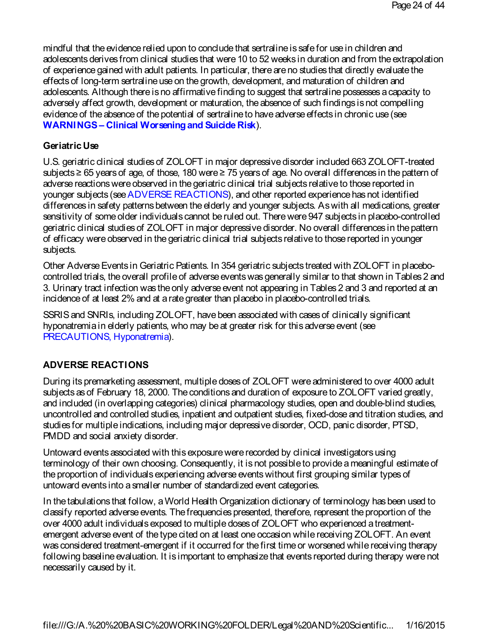mindful that the evidence relied upon to conclude that sertraline is safe for use in children and adolescents derives from clinical studies that were 10 to 52 weeks in duration and from the extrapolation of experience gained with adult patients. In particular, there are no studies that directly evaluate the effects of long-term sertraline use on the growth, development, and maturation of children and adolescents. Although there is no affirmative finding to suggest that sertraline possesses a capacity to adversely affect growth, development or maturation, the absence of such findings is not compelling evidence of the absence of the potential of sertraline to have adverse effects in chronic use (see **WARNINGS – Clinical Worsening and Suicide Risk**).

#### **Geriatric Use**

U.S. geriatric clinical studies of ZOLOFT in major depressive disorder included 663 ZOLOFT-treated subjects ≥ 65 years of age, of those, 180 were ≥ 75 years of age. No overall differences in the pattern of adverse reactions were observed in the geriatric clinical trial subjects relative to those reported in younger subjects (seeADVERSE REACTIONS), and other reported experience has not identified differences in safety patterns between the elderly and younger subjects. As with all medications, greater sensitivity of some older individuals cannot be ruled out. There were 947 subjects in placebo-controlled geriatric clinical studies of ZOLOFT in major depressive disorder. No overall differences in the pattern of efficacy were observed in the geriatric clinical trial subjects relative to those reported in younger subjects.

Other Adverse Events in Geriatric Patients. In 354 geriatric subjects treated with ZOLOFT in placebocontrolled trials, the overall profile of adverse events was generally similar to that shown in Tables 2 and 3. Urinary tract infection was the only adverse event not appearing in Tables 2 and 3 and reported at an incidence of at least 2% and at a rate greater than placebo in placebo-controlled trials.

SSRIS and SNRIs, including ZOLOFT, have been associated with cases of clinically significant hyponatremia in elderly patients, who may be at greater risk for this adverse event (see PRECAUTIONS, Hyponatremia).

# **ADVERSE REACTIONS**

During its premarketing assessment, multiple doses of ZOLOFT were administered to over 4000 adult subjects as of February 18, 2000. The conditions and duration of exposure to ZOLOFT varied greatly, and included (in overlapping categories) clinical pharmacology studies, open and double-blind studies, uncontrolled and controlled studies, inpatient and outpatient studies, fixed-dose and titration studies, and studies for multiple indications, including major depressive disorder, OCD, panic disorder, PTSD, PMDD and social anxiety disorder.

Untoward events associated with this exposure were recorded by clinical investigators using terminology of their own choosing. Consequently, it is not possible to provide a meaningful estimate of the proportion of individuals experiencing adverse events without first grouping similar types of untoward events into a smaller number of standardized event categories.

In the tabulations that follow, a World Health Organization dictionary of terminology has been used to classify reported adverse events. The frequencies presented, therefore, represent the proportion of the over 4000 adult individuals exposed to multiple doses of ZOLOFT who experienced a treatmentemergent adverse event of the type cited on at least one occasion while receiving ZOLOFT. An event was considered treatment-emergent if it occurred for the first time or worsened while receiving therapy following baseline evaluation. It is important to emphasize that events reported during therapy were not necessarily caused by it.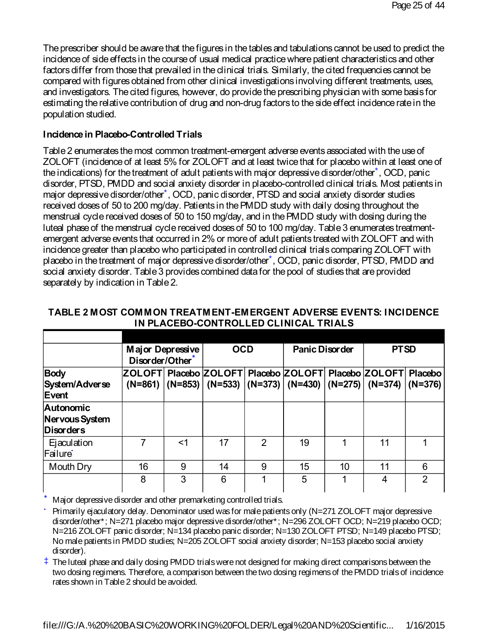The prescriber should be aware that the figures in the tables and tabulations cannot be used to predict the incidence of side effects in the course of usual medical practice where patient characteristics and other factors differ from those that prevailed in the clinical trials. Similarly, the cited frequencies cannot be compared with figures obtained from other clinical investigations involving different treatments, uses, and investigators. The cited figures, however, do provide the prescribing physician with some basis for estimating the relative contribution of drug and non-drug factors to the side effect incidence rate in the population studied.

# **Incidence in Placebo-Controlled Trials**

Table 2 enumerates the most common treatment-emergent adverse events associated with the use of ZOLOFT (incidence of at least 5% for ZOLOFT and at least twice that for placebo within at least one of the indications) for the treatment of adult patients with major depressive disorder/other $^*$ , OCD, panic disorder, PTSD, PMDD and social anxiety disorder in placebo-controlled clinical trials. Most patients in major depressive disorder/other\*, OCD, panic disorder, PTSD and social anxiety disorder studies received doses of 50 to 200 mg/day. Patients in the PMDD study with daily dosing throughout the menstrual cycle received doses of 50 to 150 mg/day, and in the PMDD study with dosing during the luteal phase of the menstrual cycle received doses of 50 to 100 mg/day. Table 3 enumerates treatmentemergent adverse events that occurred in 2% or more of adult patients treated with ZOLOFT and with incidence greater than placebo who participated in controlled clinical trials comparing ZOLOFT with placebo in the treatment of major depressive disorder/other $^*$ , OCD, panic disorder, PTSD, PMDD and social anxiety disorder. Table 3 provides combined data for the pool of studies that are provided separately by indication in Table 2.

|                                                        | Major Depressive<br>Disorder/Other* |       | <b>OCD</b> |   | <b>Panic Disorder</b> |    | <b>PTSD</b>                                                                                                                             |   |
|--------------------------------------------------------|-------------------------------------|-------|------------|---|-----------------------|----|-----------------------------------------------------------------------------------------------------------------------------------------|---|
| <b>Body</b><br>System/Adverse<br>Event                 |                                     |       |            |   |                       |    | ZOLOFT Placebo ZOLOFT Placebo ZOLOFT Placebo ZOLOFT Placebo<br>(N=861) $ (N=853)  (N=533)  (N=373)  (N=430)  (N=275)  (N=374)  (N=376)$ |   |
| <b>Autonomic</b><br>Nervous System<br><b>Disorders</b> |                                     |       |            |   |                       |    |                                                                                                                                         |   |
| Ejaculation<br>Failure                                 |                                     | $<$ 1 | 17         | 2 | 19                    |    | 11                                                                                                                                      |   |
| Mouth Dry                                              | 16                                  | 9     | 14         | 9 | 15                    | 10 | 11                                                                                                                                      | 6 |
|                                                        | 8                                   | 3     | 6          |   | 5                     |    | 4                                                                                                                                       | 2 |

# **TABLE 2 MOST COMMON TREATMENT-EMERGENT ADVERSE EVENTS: INCIDENCE IN PLACEBO-CONTROLLED CLINICAL TRIALS**

\* Major depressive disorder and other premarketing controlled trials.

Primarily ejaculatory delay. Denominator used was for male patients only (N=271 ZOLOFT major depressive disorder/other\*; N=271 placebo major depressive disorder/other\*; N=296 ZOLOFT OCD; N=219 placebo OCD; N=216 ZOLOFT panic disorder; N=134 placebo panic disorder; N=130 ZOLOFT PTSD; N=149 placebo PTSD; No male patients in PMDD studies; N=205 ZOLOFT social anxiety disorder; N=153 placebo social anxiety disorder).

‡ The luteal phase and daily dosing PMDD trials were not designed for making direct comparisons between the two dosing regimens. Therefore, a comparison between the two dosing regimens of the PMDD trials of incidence rates shown in Table 2 should be avoided.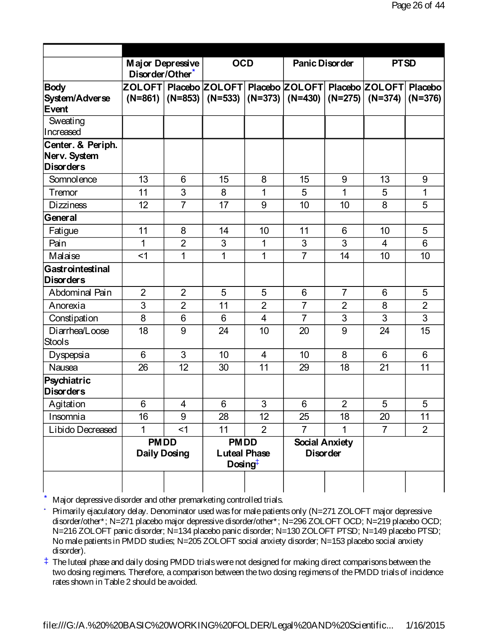|                                                       | Disorder/Other*                    | Major Depressive | <b>OCD</b>                                              |                         | <b>Panic Disorder</b>                                                                                  |                | <b>PTSD</b>    |                 |
|-------------------------------------------------------|------------------------------------|------------------|---------------------------------------------------------|-------------------------|--------------------------------------------------------------------------------------------------------|----------------|----------------|-----------------|
| <b>Body</b><br>System/Adverse<br>Event                | $(N=861)$                          | $(N=853)$        | $(N=533)$                                               |                         | ZOLOFT Placebo ZOLOFT Placebo ZOLOFT Placebo ZOLOFT Placebo<br>$(N=373)$ $(N=430)$ $(N=275)$ $(N=374)$ |                |                | $(N=376)$       |
| Sweating<br>Increased                                 |                                    |                  |                                                         |                         |                                                                                                        |                |                |                 |
| Center. & Periph.<br>Nerv. System<br><b>Disorders</b> |                                    |                  |                                                         |                         |                                                                                                        |                |                |                 |
| Somnolence                                            | 13                                 | 6                | 15                                                      | 8                       | 15                                                                                                     | 9              | 13             | 9               |
| Tremor                                                | 11                                 | 3                | 8                                                       | 1                       | 5                                                                                                      | $\mathbf 1$    | 5              | 1               |
| <b>Dizziness</b>                                      | 12                                 | $\overline{7}$   | 17                                                      | 9                       | 10                                                                                                     | 10             | 8              | 5               |
| General                                               |                                    |                  |                                                         |                         |                                                                                                        |                |                |                 |
| Fatigue                                               | 11                                 | 8                | 14                                                      | 10                      | 11                                                                                                     | 6              | 10             | 5               |
| Pain                                                  | 1                                  | $\overline{2}$   | 3                                                       | 1                       | 3                                                                                                      | 3              | $\overline{4}$ | 6               |
| Malaise                                               | $\leq$ 1                           | 1                | 1                                                       | 1                       | $\overline{7}$                                                                                         | 14             | 10             | 10 <sup>1</sup> |
| Gastrointestinal<br><b>Disorders</b>                  |                                    |                  |                                                         |                         |                                                                                                        |                |                |                 |
| Abdominal Pain                                        | $\overline{2}$                     | $\overline{2}$   | 5                                                       | 5                       | $6\phantom{1}6$                                                                                        | $\overline{7}$ | 6              | 5               |
| Anorexia                                              | $\overline{3}$                     | $\overline{2}$   | 11                                                      | $\overline{2}$          | $\overline{7}$                                                                                         | $\overline{2}$ | 8              | $\overline{2}$  |
| Constipation                                          | 8                                  | $6\phantom{1}$   | 6                                                       | $\overline{\mathbf{4}}$ | $\overline{7}$                                                                                         | $\overline{3}$ | 3              | 3               |
| Diarrhea/Loose<br><b>Stools</b>                       | 18                                 | 9                | 24                                                      | 10                      | 20                                                                                                     | 9              | 24             | 15              |
| <b>Dyspepsia</b>                                      | 6                                  | 3                | 10                                                      | 4                       | 10                                                                                                     | 8              | 6              | 6               |
| Nausea                                                | 26                                 | 12               | 30                                                      | 11                      | 29                                                                                                     | 18             | 21             | 11              |
| Psychiatric<br><b>Disorders</b>                       |                                    |                  |                                                         |                         |                                                                                                        |                |                |                 |
| Agitation                                             | 6                                  | $\overline{4}$   | $6\phantom{a}$                                          | $\mathfrak{S}$          | $6\phantom{.}$                                                                                         | $\overline{2}$ | 5              | 5               |
| Insomnia                                              | 16                                 | 9                | 28                                                      | 12                      | 25                                                                                                     | 18             | 20             | 11              |
| Libido Decreased                                      | 1                                  | $<$ 1            | 11                                                      | $\overline{2}$          | $\overline{7}$                                                                                         | 1              | $\overline{7}$ | $\overline{2}$  |
|                                                       | <b>PMDD</b><br><b>Daily Dosing</b> |                  | <b>PMDD</b><br><b>Luteal Phase</b><br>Dosing $\ddagger$ |                         | <b>Social Anxiety</b><br><b>Disorder</b>                                                               |                |                |                 |

Primarily ejaculatory delay. Denominator used was for male patients only (N=271 ZOLOFT major depressive disorder/other\*; N=271 placebo major depressive disorder/other\*; N=296 ZOLOFT OCD; N=219 placebo OCD; N=216 ZOLOFT panic disorder; N=134 placebo panic disorder; N=130 ZOLOFT PTSD; N=149 placebo PTSD; No male patients in PMDD studies; N=205 ZOLOFT social anxiety disorder; N=153 placebo social anxiety disorder).

‡ The luteal phase and daily dosing PMDD trials were not designed for making direct comparisons between the two dosing regimens. Therefore, a comparison between the two dosing regimens of the PMDD trials of incidence rates shown in Table 2 should be avoided.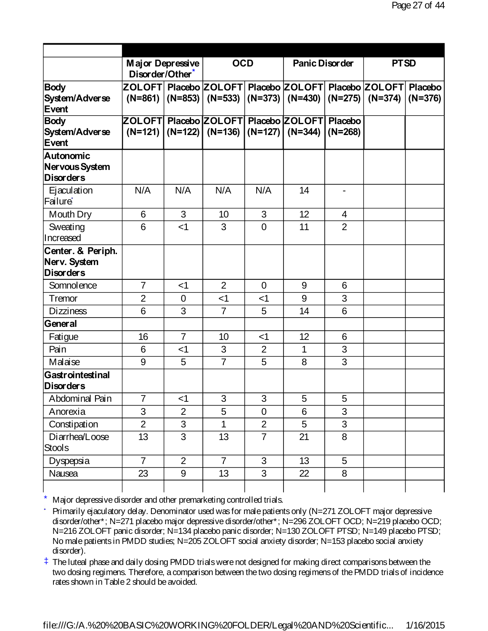|                                                        | Major Depressive<br>Disorder/Other* |                | <b>OCD</b>                                                |                | <b>Panic Disorder</b>                              |                | <b>PTSD</b> |           |
|--------------------------------------------------------|-------------------------------------|----------------|-----------------------------------------------------------|----------------|----------------------------------------------------|----------------|-------------|-----------|
| <b>Body</b><br>System/Adverse<br>Event                 | $(N=861)$                           | $(N=853)$      | ZOLOFT Placebo ZOLOFT<br>$(N=533)$                        | $(N=373)$      | Placebo ZOLOFT Placebo ZOLOFT Placebo<br>$(N=430)$ | $(N=275)$      | $(N=374)$   | $(N=376)$ |
| <b>Body</b><br>System/Adverse<br>Event                 | $(N=121)$                           | $(N=122)$      | ZOLOFT Placebo ZOLOFT Placebo ZOLOFT Placebo<br>$(N=136)$ | $(N=127)$      | $(N=344)$                                          | $(N=268)$      |             |           |
| <b>Autonomic</b><br>Nervous System<br><b>Disorders</b> |                                     |                |                                                           |                |                                                    |                |             |           |
| Ejaculation<br>Failure                                 | N/A                                 | N/A            | N/A                                                       | N/A            | 14                                                 |                |             |           |
| <b>Mouth Dry</b>                                       | 6                                   | 3              | 10                                                        | 3              | 12                                                 | $\overline{4}$ |             |           |
| Sweating<br>Increased                                  | 6                                   | $<$ 1          | 3                                                         | $\overline{0}$ | 11                                                 | $\overline{2}$ |             |           |
| Center. & Periph.<br>Nerv. System<br><b>Disorders</b>  |                                     |                |                                                           |                |                                                    |                |             |           |
| Somnolence                                             | $\overline{7}$                      | $<$ 1          | 2                                                         | $\Omega$       | 9                                                  | 6              |             |           |
| Tremor                                                 | $\overline{2}$                      | $\overline{0}$ | $<$ 1                                                     | $<$ 1          | 9                                                  | 3              |             |           |
| <b>Dizziness</b>                                       | 6                                   | 3              | $\overline{7}$                                            | 5              | 14                                                 | 6              |             |           |
| General                                                |                                     |                |                                                           |                |                                                    |                |             |           |
| Fatigue                                                | 16                                  | $\overline{7}$ | 10                                                        | $<$ 1          | 12                                                 | 6              |             |           |
| Pain                                                   | 6                                   | $<$ 1          | 3                                                         | $\overline{2}$ | 1                                                  | 3              |             |           |
| Malaise                                                | 9                                   | 5              | $\overline{7}$                                            | 5              | 8                                                  | $\overline{3}$ |             |           |
| Gastrointestinal<br><b>Disorders</b>                   |                                     |                |                                                           |                |                                                    |                |             |           |
| Abdominal Pain                                         | $\overline{7}$                      | $<$ 1          | 3                                                         | 3              | 5                                                  | 5              |             |           |
| Anorexia                                               | 3                                   | $\overline{2}$ | 5                                                         | $\mathbf 0$    | 6                                                  | 3              |             |           |
| Constipation                                           | $\overline{2}$                      | 3              | 1                                                         | $\overline{2}$ | 5                                                  | 3              |             |           |
| Diarrhea/Loose<br><b>Stools</b>                        | 13                                  | 3              | 13                                                        | $\overline{7}$ | 21                                                 | 8              |             |           |
| Dyspepsia                                              | $\overline{7}$                      | $\overline{2}$ | $\overline{7}$                                            | 3              | 13                                                 | 5              |             |           |
| Nausea                                                 | 23                                  | 9              | 13                                                        | $\mathbf{3}$   | 22                                                 | 8              |             |           |
|                                                        |                                     |                |                                                           |                |                                                    |                |             |           |

Primarily ejaculatory delay. Denominator used was for male patients only (N=271 ZOLOFT major depressive disorder/other\*; N=271 placebo major depressive disorder/other\*; N=296 ZOLOFT OCD; N=219 placebo OCD; N=216 ZOLOFT panic disorder; N=134 placebo panic disorder; N=130 ZOLOFT PTSD; N=149 placebo PTSD; No male patients in PMDD studies; N=205 ZOLOFT social anxiety disorder; N=153 placebo social anxiety disorder).

‡ The luteal phase and daily dosing PMDD trials were not designed for making direct comparisons between the two dosing regimens. Therefore, a comparison between the two dosing regimens of the PMDD trials of incidence rates shown in Table 2 should be avoided.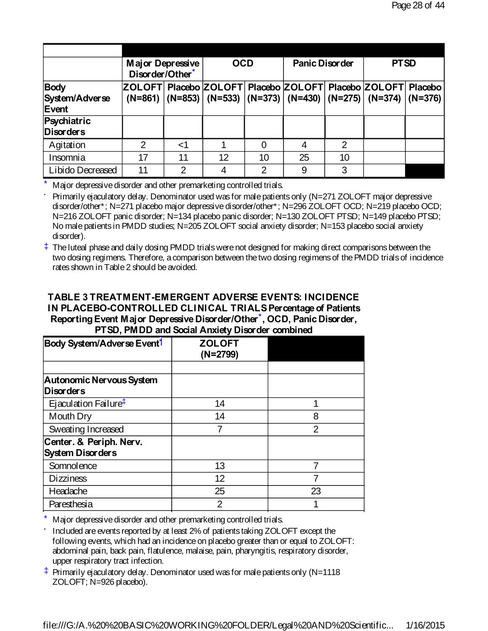|                  |    | Major Depressive<br>Disorder/Other* |                                                                          | <b>OCD</b>     |    | <b>Panic Disorder</b> |  | <b>PTSD</b> |  |
|------------------|----|-------------------------------------|--------------------------------------------------------------------------|----------------|----|-----------------------|--|-------------|--|
|                  |    |                                     |                                                                          |                |    |                       |  |             |  |
| <b>Body</b>      |    |                                     | ZOLOFT Placebo ZOLOFT Placebo ZOLOFT Placebo ZOLOFT Placebo              |                |    |                       |  |             |  |
| System/Adverse   |    |                                     | (N=861) $ (N=853)  (N=533)  (N=373)  (N=430)  (N=275)  (N=374)  (N=376)$ |                |    |                       |  |             |  |
| Event            |    |                                     |                                                                          |                |    |                       |  |             |  |
| Psychiatric      |    |                                     |                                                                          |                |    |                       |  |             |  |
| <b>Disorders</b> |    |                                     |                                                                          |                |    |                       |  |             |  |
| Agitation        | C  | <1                                  |                                                                          |                | 4  | 2                     |  |             |  |
| Insomnia         | 17 | 11                                  | 12                                                                       | 10             | 25 | 10                    |  |             |  |
| Libido Decreased | 11 | 2                                   | 4                                                                        | $\overline{2}$ | 9  | 3                     |  |             |  |

Primarily ejaculatory delay. Denominator used was for male patients only (N=271 ZOLOFT major depressive disorder/other\*; N=271 placebo major depressive disorder/other\*; N=296 ZOLOFT OCD; N=219 placebo OCD; N=216 ZOLOFT panic disorder; N=134 placebo panic disorder; N=130 ZOLOFT PTSD; N=149 placebo PTSD; No male patients in PMDD studies; N=205 ZOLOFT social anxiety disorder; N=153 placebo social anxiety disorder).

‡ The luteal phase and daily dosing PMDD trials were not designed for making direct comparisons between the two dosing regimens. Therefore, a comparison between the two dosing regimens of the PMDD trials of incidence rates shown in Table 2 should be avoided.

#### **TABLE 3 TREATMENT-EMERGENT ADVERSE EVENTS: INCIDENCE IN PLACEBO-CONTROLLED CLINICAL TRIALS Percentage of Patients Reporting Event Major Depressive Disorder/Other , OCD, Panic Disorder, \* PTSD, PMDD and Social Anxiety Disorder combined**

| Body System/Adverse Event <sup>1</sup>             | <b>ZOLOFT</b><br>$(N=2799)$ |                |
|----------------------------------------------------|-----------------------------|----------------|
|                                                    |                             |                |
| Autonomic Nervous System<br><b>Disorders</b>       |                             |                |
| Ejaculation Failure <sup>‡</sup>                   | 14                          |                |
| <b>Mouth Dry</b>                                   | 14                          | 8              |
| Sweating Increased                                 |                             | $\overline{2}$ |
| Center. & Periph. Nerv.<br><b>System Disorders</b> |                             |                |
| Somnolence                                         | 13                          |                |
| <b>Dizziness</b>                                   | 12                          |                |
| Headache                                           | 25                          | 23             |
| Paresthesia                                        | 2                           |                |

\* Major depressive disorder and other premarketing controlled trials.

Included are events reported by at least 2% of patients taking ZOLOFT except the following events, which had an incidence on placebo greater than or equal to ZOLOFT: abdominal pain, back pain, flatulence, malaise, pain, pharyngitis, respiratory disorder, upper respiratory tract infection.

‡ Primarily ejaculatory delay. Denominator used was for male patients only (N=1118 ZOLOFT; N=926 placebo).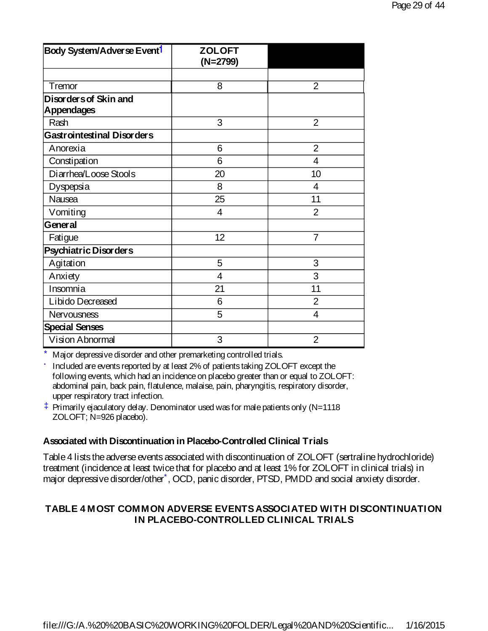| Body System/Adverse Event <sup>1</sup> | <b>ZOLOFT</b><br>$(N=2799)$ |                |
|----------------------------------------|-----------------------------|----------------|
|                                        |                             |                |
| Tremor                                 | 8                           | $\overline{2}$ |
| Disorders of Skin and                  |                             |                |
| <b>Appendages</b>                      |                             |                |
| Rash                                   | 3                           | $\overline{2}$ |
| Gastrointestinal Disorders             |                             |                |
| Anorexia                               | 6                           | $\overline{2}$ |
| Constipation                           | 6                           | $\overline{4}$ |
| Diarrhea/Loose Stools                  | 20                          | 10             |
| Dyspepsia                              | 8                           | 4              |
| Nausea                                 | 25                          | 11             |
| Vomiting                               | 4                           | $\overline{2}$ |
| General                                |                             |                |
| Fatigue                                | 12                          | $\overline{7}$ |
| Psychiatric Disorders                  |                             |                |
| Agitation                              | 5                           | 3              |
| Anxiety                                | 4                           | 3              |
| Insomnia                               | 21                          | 11             |
| Libido Decreased                       | 6                           | $\overline{2}$ |
| Nervousness                            | 5                           | $\overline{4}$ |
| <b>Special Senses</b>                  |                             |                |
| Vision Abnormal                        | 3                           | $\overline{2}$ |

Included are events reported by at least 2% of patients taking ZOLOFT except the following events, which had an incidence on placebo greater than or equal to ZOLOFT: abdominal pain, back pain, flatulence, malaise, pain, pharyngitis, respiratory disorder, upper respiratory tract infection.

‡ Primarily ejaculatory delay. Denominator used was for male patients only (N=1118 ZOLOFT; N=926 placebo).

### **Associated with Discontinuation in Placebo-Controlled Clinical Trials**

Table 4 lists the adverse events associated with discontinuation of ZOLOFT (sertraline hydrochloride) treatment (incidence at least twice that for placebo and at least 1% for ZOLOFT in clinical trials) in major depressive disorder/other $^\star$ , OCD, panic disorder, PTSD, PMDD and social anxiety disorder.

### **TABLE 4 MOST COMMON ADVERSE EVENTS ASSOCIATED WITH DISCONTINUATION IN PLACEBO-CONTROLLED CLINICAL TRIALS**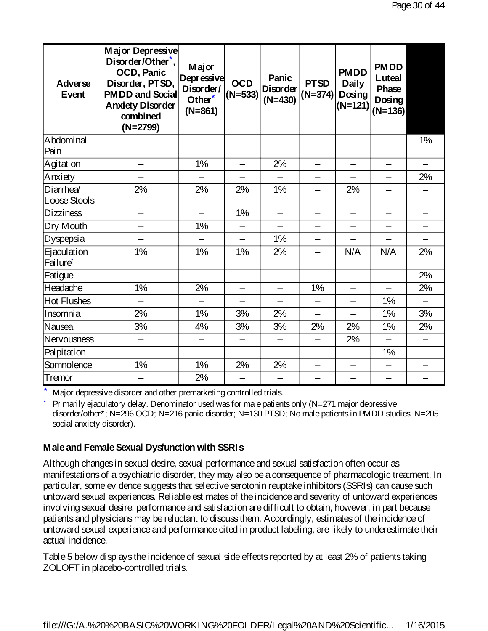| <b>Adverse</b><br>Event  | Major Depressive<br>Disorder/Other <sup>*</sup> ,<br>OCD, Panic<br>Disorder, PTSD,<br><b>PM DD and Social</b><br><b>Anxiety Disorder</b><br>combined<br>$(N=2799)$ | <b>Major</b><br><b>Depressive</b><br>Disorder/<br>Other <sup>*</sup><br>$(N=861)$ | <b>OCD</b><br>(N=533)    | <b>Panic</b><br><b>Disorder</b><br>$(N=430)$ | <b>PTSD</b><br>$(N=374)$ | <b>PMDD</b><br><b>Daily</b><br>Dosing<br>$(N=121)$ | <b>PMDD</b><br>Luteal<br>Phase<br>Dosing<br>$(N=136)$ |                          |
|--------------------------|--------------------------------------------------------------------------------------------------------------------------------------------------------------------|-----------------------------------------------------------------------------------|--------------------------|----------------------------------------------|--------------------------|----------------------------------------------------|-------------------------------------------------------|--------------------------|
| Abdominal<br>Pain        |                                                                                                                                                                    |                                                                                   |                          |                                              |                          |                                                    |                                                       | 1%                       |
| Agitation                | —                                                                                                                                                                  | 1%                                                                                | $\qquad \qquad$          | 2%                                           | $\overline{\phantom{0}}$ | $\overline{\phantom{0}}$                           | $\overline{\phantom{0}}$                              | $\equiv$                 |
| Anxiety                  |                                                                                                                                                                    |                                                                                   |                          |                                              | —                        |                                                    | $\equiv$                                              | 2%                       |
| Diarrhea<br>Loose Stools | 2%                                                                                                                                                                 | 2%                                                                                | 2%                       | 1%                                           | —                        | 2%                                                 |                                                       |                          |
| Dizziness                | —                                                                                                                                                                  | —                                                                                 | 1%                       | —                                            | —                        | $\overline{\phantom{0}}$                           |                                                       | —                        |
| Dry Mouth                | —                                                                                                                                                                  | 1%                                                                                | —                        |                                              | —                        | $\overline{\phantom{0}}$                           | —                                                     |                          |
| Dyspepsia                |                                                                                                                                                                    |                                                                                   |                          | 1%                                           | —                        |                                                    |                                                       |                          |
| Ejaculation<br>Failure   | 1%                                                                                                                                                                 | 1%                                                                                | 1%                       | 2%                                           | —                        | N/A                                                | N/A                                                   | 2%                       |
| Fatigue                  |                                                                                                                                                                    |                                                                                   |                          |                                              |                          | —                                                  | —                                                     | 2%                       |
| Headache                 | 1%                                                                                                                                                                 | 2%                                                                                | —                        | —                                            | 1%                       | —                                                  | $\qquad \qquad$                                       | 2%                       |
| <b>Hot Flushes</b>       |                                                                                                                                                                    |                                                                                   |                          |                                              | —                        | —                                                  | 1%                                                    | $\overline{\phantom{0}}$ |
| Insomnia                 | 2%                                                                                                                                                                 | 1%                                                                                | 3%                       | 2%                                           | —                        | $\overline{\phantom{0}}$                           | 1%                                                    | 3%                       |
| Nausea                   | 3%                                                                                                                                                                 | 4%                                                                                | 3%                       | 3%                                           | 2%                       | 2%                                                 | 1%                                                    | 2%                       |
| Nervousness              | —                                                                                                                                                                  | $\qquad \qquad \qquad$                                                            | $\overline{\phantom{0}}$ | —                                            | $\overline{\phantom{0}}$ | 2%                                                 | $\overline{\phantom{0}}$                              | $\overline{\phantom{0}}$ |
| Palpitation              | $\equiv$                                                                                                                                                           | $\overline{\phantom{0}}$                                                          | $\overline{\phantom{0}}$ | $\overline{\phantom{0}}$                     | $\overline{\phantom{0}}$ | $\equiv$                                           | 1%                                                    | $\qquad \qquad$          |
| Somnolence               | 1%                                                                                                                                                                 | 1%                                                                                | 2%                       | 2%                                           | —                        | —                                                  | —                                                     | —                        |
| Tremor                   |                                                                                                                                                                    | 2%                                                                                |                          |                                              |                          |                                                    |                                                       |                          |

Primarily ejaculatory delay. Denominator used was for male patients only (N=271 major depressive disorder/other\*; N=296 OCD; N=216 panic disorder; N=130 PTSD; No male patients in PMDD studies; N=205 social anxiety disorder).

### **Male and Female Sexual Dysfunction with SSRIs**

Although changes in sexual desire, sexual performance and sexual satisfaction often occur as manifestations of a psychiatric disorder, they may also be a consequence of pharmacologic treatment. In particular, some evidence suggests that selective serotonin reuptake inhibitors (SSRIs) can cause such untoward sexual experiences. Reliable estimates of the incidence and severity of untoward experiences involving sexual desire, performance and satisfaction are difficult to obtain, however, in part because patients and physicians may be reluctant to discuss them. Accordingly, estimates of the incidence of untoward sexual experience and performance cited in product labeling, are likely to underestimate their actual incidence.

Table 5 below displays the incidence of sexual side effects reported by at least 2% of patients taking ZOLOFT in placebo-controlled trials.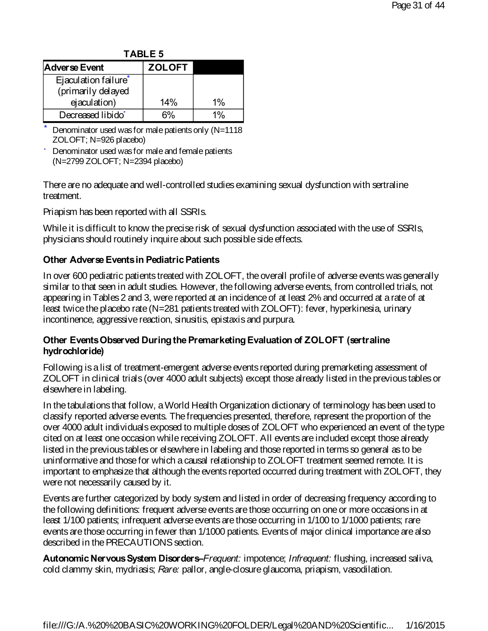| I ADLE J                                               |               |       |  |  |  |  |  |
|--------------------------------------------------------|---------------|-------|--|--|--|--|--|
| Adverse Event                                          | <b>ZOLOFT</b> |       |  |  |  |  |  |
| Ejaculation failure <sup>*</sup><br>(primarily delayed |               |       |  |  |  |  |  |
| ejaculation)                                           | 14%           | $1\%$ |  |  |  |  |  |
| Decreased libido                                       | 6%            | 1%    |  |  |  |  |  |

**TABLE 5**

\* Denominator used was for male patients only (N=1118 ZOLOFT; N=926 placebo)

Denominator used was for male and female patients (N=2799 ZOLOFT; N=2394 placebo)

There are no adequate and well-controlled studies examining sexual dysfunction with sertraline treatment.

Priapism has been reported with all SSRIs.

While it is difficult to know the precise risk of sexual dysfunction associated with the use of SSRIs, physicians should routinely inquire about such possible side effects.

# **Other Adverse Events in Pediatric Patients**

In over 600 pediatric patients treated with ZOLOFT, the overall profile of adverse events was generally similar to that seen in adult studies. However, the following adverse events, from controlled trials, not appearing in Tables 2 and 3, were reported at an incidence of at least 2% and occurred at a rate of at least twice the placebo rate (N=281 patients treated with ZOLOFT): fever, hyperkinesia, urinary incontinence, aggressive reaction, sinusitis, epistaxis and purpura.

### **Other Events Observed During the Premarketing Evaluation of ZOLOFT (sertraline hydrochloride)**

Following is a list of treatment-emergent adverse events reported during premarketing assessment of ZOLOFT in clinical trials (over 4000 adult subjects) except those already listed in the previous tables or elsewhere in labeling.

In the tabulations that follow, a World Health Organization dictionary of terminology has been used to classify reported adverse events. The frequencies presented, therefore, represent the proportion of the over 4000 adult individuals exposed to multiple doses of ZOLOFT who experienced an event of the type cited on at least one occasion while receiving ZOLOFT. All events are included except those already listed in the previous tables or elsewhere in labeling and those reported in terms so general as to be uninformative and those for which a causal relationship to ZOLOFT treatment seemed remote. It is important to emphasize that although the events reported occurred during treatment with ZOLOFT, they were not necessarily caused by it.

Events are further categorized by body system and listed in order of decreasing frequency according to the following definitions: frequent adverse events are those occurring on one or more occasions in at least 1/100 patients; infrequent adverse events are those occurring in 1/100 to 1/1000 patients; rare events are those occurring in fewer than 1/1000 patients. Events of major clinical importance are also described in the PRECAUTIONS section.

**Autonomic Nervous System Disorders–***Frequent:* impotence; *Infrequent:* flushing, increased saliva, cold clammy skin, mydriasis; *Rare:* pallor, angle-closure glaucoma, priapism, vasodilation.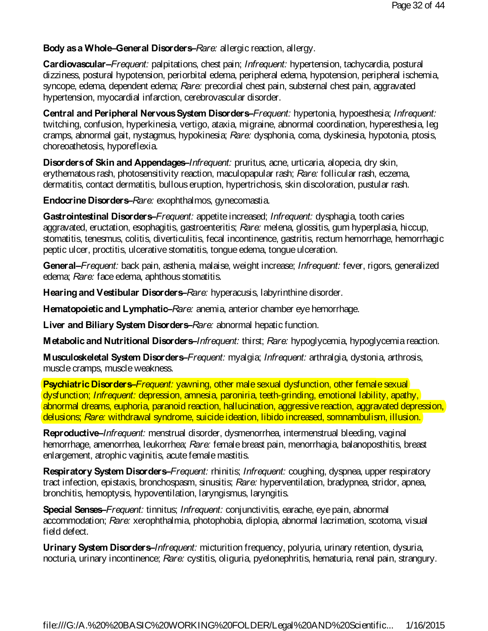**Body as a Whole–General Disorders–***Rare:* allergic reaction, allergy.

**Cardiovascular–***Frequent:* palpitations, chest pain; *Infrequent:* hypertension, tachycardia, postural dizziness, postural hypotension, periorbital edema, peripheral edema, hypotension, peripheral ischemia, syncope, edema, dependent edema; *Rare:* precordial chest pain, substernal chest pain, aggravated hypertension, myocardial infarction, cerebrovascular disorder.

**Central and Peripheral Nervous System Disorders–***Frequent:* hypertonia, hypoesthesia; *Infrequent:* twitching, confusion, hyperkinesia, vertigo, ataxia, migraine, abnormal coordination, hyperesthesia, leg cramps, abnormal gait, nystagmus, hypokinesia; *Rare:* dysphonia, coma, dyskinesia, hypotonia, ptosis, choreoathetosis, hyporeflexia.

**Disorders of Skin and Appendages–***Infrequent:* pruritus, acne, urticaria, alopecia, dry skin, erythematous rash, photosensitivity reaction, maculopapular rash; *Rare:* follicular rash, eczema, dermatitis, contact dermatitis, bullous eruption, hypertrichosis, skin discoloration, pustular rash.

**Endocrine Disorders–***Rare:* exophthalmos, gynecomastia.

**Gastrointestinal Disorders–***Frequent:* appetite increased; *Infrequent:* dysphagia, tooth caries aggravated, eructation, esophagitis, gastroenteritis; *Rare:* melena, glossitis, gum hyperplasia, hiccup, stomatitis, tenesmus, colitis, diverticulitis, fecal incontinence, gastritis, rectum hemorrhage, hemorrhagic peptic ulcer, proctitis, ulcerative stomatitis, tongue edema, tongue ulceration.

**General–***Frequent:* back pain, asthenia, malaise, weight increase; *Infrequent:* fever, rigors, generalized edema; *Rare:* face edema, aphthous stomatitis.

**Hearing and Vestibular Disorders–***Rare:* hyperacusis, labyrinthine disorder.

**Hematopoietic and Lymphatic–***Rare:* anemia, anterior chamber eye hemorrhage.

**Liver and Biliary System Disorders–***Rare:* abnormal hepatic function.

**Metabolic and Nutritional Disorders–***Infrequent:* thirst; *Rare:* hypoglycemia, hypoglycemia reaction.

**Musculoskeletal System Disorders–***Frequent:* myalgia; *Infrequent:* arthralgia, dystonia, arthrosis, muscle cramps, muscle weakness.

**Psychiatric Disorders–***Frequent:* yawning, other male sexual dysfunction, other female sexual dysfunction; *Infrequent:* depression, amnesia, paroniria, teeth-grinding, emotional lability, apathy, abnormal dreams, euphoria, paranoid reaction, hallucination, aggressive reaction, aggravated depression, delusions; *Rare:* withdrawal syndrome, suicide ideation, libido increased, somnambulism, illusion.

**Reproductive–***Infrequent:* menstrual disorder, dysmenorrhea, intermenstrual bleeding, vaginal hemorrhage, amenorrhea, leukorrhea; *Rare:* female breast pain, menorrhagia, balanoposthitis, breast enlargement, atrophic vaginitis, acute female mastitis.

**Respiratory System Disorders–***Frequent:* rhinitis; *Infrequent:* coughing, dyspnea, upper respiratory tract infection, epistaxis, bronchospasm, sinusitis; *Rare:* hyperventilation, bradypnea, stridor, apnea, bronchitis, hemoptysis, hypoventilation, laryngismus, laryngitis.

**Special Senses–***Frequent:* tinnitus; *Infrequent:* conjunctivitis, earache, eye pain, abnormal accommodation; *Rare:* xerophthalmia, photophobia, diplopia, abnormal lacrimation, scotoma, visual field defect.

**Urinary System Disorders–***Infrequent:* micturition frequency, polyuria, urinary retention, dysuria, nocturia, urinary incontinence; *Rare:* cystitis, oliguria, pyelonephritis, hematuria, renal pain, strangury.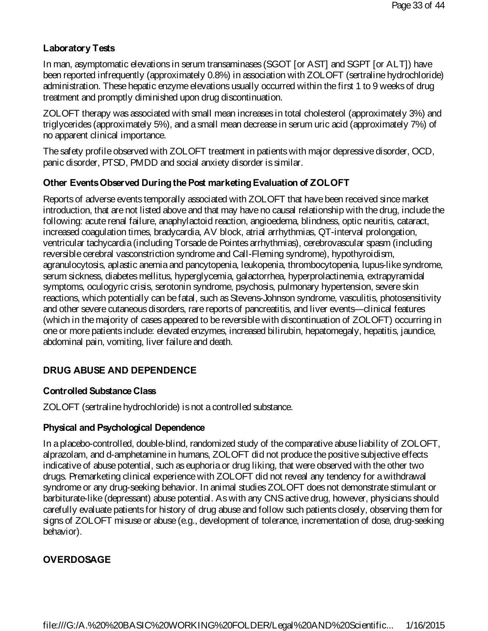# **Laboratory Tests**

In man, asymptomatic elevations in serum transaminases (SGOT [or AST] and SGPT [or ALT]) have been reported infrequently (approximately 0.8%) in association with ZOLOFT (sertraline hydrochloride) administration. These hepatic enzyme elevations usually occurred within the first 1 to 9 weeks of drug treatment and promptly diminished upon drug discontinuation.

ZOLOFT therapy was associated with small mean increases in total cholesterol (approximately 3%) and triglycerides (approximately 5%), and a small mean decrease in serum uric acid (approximately 7%) of no apparent clinical importance.

The safety profile observed with ZOLOFT treatment in patients with major depressive disorder, OCD, panic disorder, PTSD, PMDD and social anxiety disorder is similar.

# **Other Events Observed During the Post marketing Evaluation of ZOLOFT**

Reports of adverse events temporally associated with ZOLOFT that have been received since market introduction, that are not listed above and that may have no causal relationship with the drug, include the following: acute renal failure, anaphylactoid reaction, angioedema, blindness, optic neuritis, cataract, increased coagulation times, bradycardia, AV block, atrial arrhythmias, QT-interval prolongation, ventricular tachycardia (including Torsade de Pointes arrhythmias), cerebrovascular spasm (including reversible cerebral vasconstriction syndrome and Call-Fleming syndrome), hypothyroidism, agranulocytosis, aplastic anemia and pancytopenia, leukopenia, thrombocytopenia, lupus-like syndrome, serum sickness, diabetes mellitus, hyperglycemia, galactorrhea, hyperprolactinemia, extrapyramidal symptoms, oculogyric crisis, serotonin syndrome, psychosis, pulmonary hypertension, severe skin reactions, which potentially can be fatal, such as Stevens-Johnson syndrome, vasculitis, photosensitivity and other severe cutaneous disorders, rare reports of pancreatitis, and liver events—clinical features (which in the majority of cases appeared to be reversible with discontinuation of ZOLOFT) occurring in one or more patients include: elevated enzymes, increased bilirubin, hepatomegaly, hepatitis, jaundice, abdominal pain, vomiting, liver failure and death.

# **DRUG ABUSE AND DEPENDENCE**

### **Controlled Substance Class**

ZOLOFT (sertraline hydrochloride) is not a controlled substance.

#### **Physical and Psychological Dependence**

In a placebo-controlled, double-blind, randomized study of the comparative abuse liability of ZOLOFT, alprazolam, and d-amphetamine in humans, ZOLOFT did not produce the positive subjective effects indicative of abuse potential, such as euphoria or drug liking, that were observed with the other two drugs. Premarketing clinical experience with ZOLOFT did not reveal any tendency for a withdrawal syndrome or any drug-seeking behavior. In animal studies ZOLOFT does not demonstrate stimulant or barbiturate-like (depressant) abuse potential. As with any CNS active drug, however, physicians should carefully evaluate patients for history of drug abuse and follow such patients closely, observing them for signs of ZOLOFT misuse or abuse (e.g., development of tolerance, incrementation of dose, drug-seeking behavior).

# **OVERDOSAGE**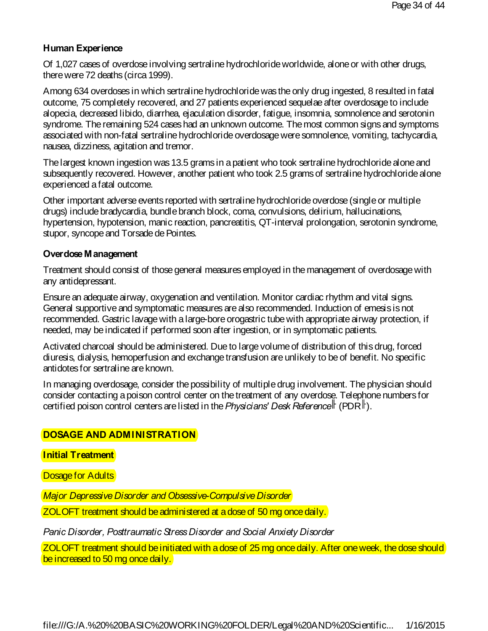#### **Human Experience**

Of 1,027 cases of overdose involving sertraline hydrochloride worldwide, alone or with other drugs, there were 72 deaths (circa 1999).

Among 634 overdoses in which sertraline hydrochloride was the only drug ingested, 8 resulted in fatal outcome, 75 completely recovered, and 27 patients experienced sequelae after overdosage to include alopecia, decreased libido, diarrhea, ejaculation disorder, fatigue, insomnia, somnolence and serotonin syndrome. The remaining 524 cases had an unknown outcome. The most common signs and symptoms associated with non-fatal sertraline hydrochloride overdosage were somnolence, vomiting, tachycardia, nausea, dizziness, agitation and tremor.

The largest known ingestion was 13.5 grams in a patient who took sertraline hydrochloride alone and subsequently recovered. However, another patient who took 2.5 grams of sertraline hydrochloride alone experienced a fatal outcome.

Other important adverse events reported with sertraline hydrochloride overdose (single or multiple drugs) include bradycardia, bundle branch block, coma, convulsions, delirium, hallucinations, hypertension, hypotension, manic reaction, pancreatitis, QT-interval prolongation, serotonin syndrome, stupor, syncope and Torsade de Pointes.

#### **Overdose Management**

Treatment should consist of those general measures employed in the management of overdosage with any antidepressant.

Ensure an adequate airway, oxygenation and ventilation. Monitor cardiac rhythm and vital signs. General supportive and symptomatic measures are also recommended. Induction of emesis is not recommended. Gastric lavage with a large-bore orogastric tube with appropriate airway protection, if needed, may be indicated if performed soon after ingestion, or in symptomatic patients.

Activated charcoal should be administered. Due to large volume of distribution of this drug, forced diuresis, dialysis, hemoperfusion and exchange transfusion are unlikely to be of benefit. No specific antidotes for sertraline are known.

In managing overdosage, consider the possibility of multiple drug involvement. The physician should consider contacting a poison control center on the treatment of any overdose. Telephone numbers for certified poison control centers are listed in the*Physicians' Desk Reference* (PDR ). *╟*

#### **DOSAGE AND ADMINISTRATION**

**Initial Treatment**

Dosage for Adults

*Major Depressive Disorder and Obsessive-Compulsive Disorder*

ZOLOFT treatment should be administered at a dose of 50 mg once daily.

*Panic Disorder, Posttraumatic Stress Disorder and Social Anxiety Disorder*

ZOLOFT treatment should be initiated with a dose of 25 mg once daily. After one week, the dose should be increased to 50 mg once daily.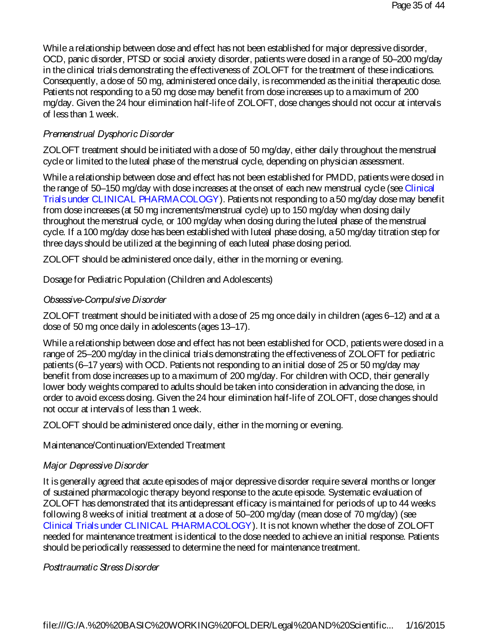While a relationship between dose and effect has not been established for major depressive disorder, OCD, panic disorder, PTSD or social anxiety disorder, patients were dosed in a range of 50–200 mg/day in the clinical trials demonstrating the effectiveness of ZOLOFT for the treatment of these indications. Consequently, a dose of 50 mg, administered once daily, is recommended as the initial therapeutic dose. Patients not responding to a 50 mg dose may benefit from dose increases up to a maximum of 200 mg/day. Given the 24 hour elimination half-life of ZOLOFT, dose changes should not occur at intervals of less than 1 week.

### *Premenstrual Dysphoric Disorder*

ZOLOFT treatment should be initiated with a dose of 50 mg/day, either daily throughout the menstrual cycle or limited to the luteal phase of the menstrual cycle, depending on physician assessment.

While a relationship between dose and effect has not been established for PMDD, patients were dosed in the range of 50–150 mg/day with dose increases at the onset of each new menstrual cycle (see Clinical Trials under CLINICAL PHARMACOLOGY). Patients not responding to a 50 mg/day dose may benefit from dose increases (at 50 mg increments/menstrual cycle) up to 150 mg/day when dosing daily throughout the menstrual cycle, or 100 mg/day when dosing during the luteal phase of the menstrual cycle. If a 100 mg/day dose has been established with luteal phase dosing, a 50 mg/day titration step for three days should be utilized at the beginning of each luteal phase dosing period.

ZOLOFT should be administered once daily, either in the morning or evening.

Dosage for Pediatric Population (Children and Adolescents)

### *Obsessive-Compulsive Disorder*

ZOLOFT treatment should be initiated with a dose of 25 mg once daily in children (ages 6–12) and at a dose of 50 mg once daily in adolescents (ages 13–17).

While a relationship between dose and effect has not been established for OCD, patients were dosed in a range of 25–200 mg/day in the clinical trials demonstrating the effectiveness of ZOLOFT for pediatric patients (6–17 years) with OCD. Patients not responding to an initial dose of 25 or 50 mg/day may benefit from dose increases up to a maximum of 200 mg/day. For children with OCD, their generally lower body weights compared to adults should be taken into consideration in advancing the dose, in order to avoid excess dosing. Given the 24 hour elimination half-life of ZOLOFT, dose changes should not occur at intervals of less than 1 week.

ZOLOFT should be administered once daily, either in the morning or evening.

Maintenance/Continuation/Extended Treatment

### *Major Depressive Disorder*

It is generally agreed that acute episodes of major depressive disorder require several months or longer of sustained pharmacologic therapy beyond response to the acute episode. Systematic evaluation of ZOLOFT has demonstrated that its antidepressant efficacy is maintained for periods of up to 44 weeks following 8 weeks of initial treatment at a dose of 50–200 mg/day (mean dose of 70 mg/day) (see Clinical Trials under CLINICAL PHARMACOLOGY). It is not known whether the dose of ZOLOFT needed for maintenance treatment is identical to the dose needed to achieve an initial response. Patients should be periodically reassessed to determine the need for maintenance treatment.

### *Posttraumatic Stress Disorder*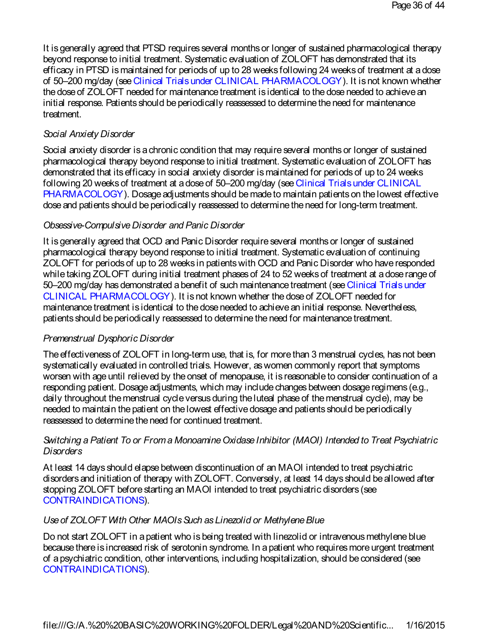It is generally agreed that PTSD requires several months or longer of sustained pharmacological therapy beyond response to initial treatment. Systematic evaluation of ZOLOFT has demonstrated that its efficacy in PTSD is maintained for periods of up to 28 weeks following 24 weeks of treatment at a dose of 50–200 mg/day (see Clinical Trials under CLINICAL PHARMACOLOGY). It is not known whether the dose of ZOLOFT needed for maintenance treatment is identical to the dose needed to achieve an initial response. Patients should be periodically reassessed to determine the need for maintenance treatment.

#### *Social Anxiety Disorder*

Social anxiety disorder is a chronic condition that may require several months or longer of sustained pharmacological therapy beyond response to initial treatment. Systematic evaluation of ZOLOFT has demonstrated that its efficacy in social anxiety disorder is maintained for periods of up to 24 weeks following 20 weeks of treatment at a dose of 50–200 mg/day (see Clinical Trials under CLINICAL PHARMACOLOGY). Dosage adjustments should be made to maintain patients on the lowest effective dose and patients should be periodically reassessed to determine the need for long-term treatment.

#### *Obsessive-Compulsive Disorder and Panic Disorder*

It is generally agreed that OCD and Panic Disorder require several months or longer of sustained pharmacological therapy beyond response to initial treatment. Systematic evaluation of continuing ZOLOFT for periods of up to 28 weeks in patients with OCD and Panic Disorder who have responded while taking ZOLOFT during initial treatment phases of 24 to 52 weeks of treatment at a dose range of 50–200 mg/day has demonstrated a benefit of such maintenance treatment (see Clinical Trials under CLINICAL PHARMACOLOGY). It is not known whether the dose of ZOLOFT needed for maintenance treatment is identical to the dose needed to achieve an initial response. Nevertheless, patients should be periodically reassessed to determine the need for maintenance treatment.

### *Premenstrual Dysphoric Disorder*

The effectiveness of ZOLOFT in long-term use, that is, for more than 3 menstrual cycles, has not been systematically evaluated in controlled trials. However, as women commonly report that symptoms worsen with age until relieved by the onset of menopause, it is reasonable to consider continuation of a responding patient. Dosage adjustments, which may include changes between dosage regimens (e.g., daily throughout the menstrual cycle versus during the luteal phase of the menstrual cycle), may be needed to maintain the patient on the lowest effective dosage and patients should be periodically reassessed to determine the need for continued treatment.

### *Switching a Patient To or From a Monoamine Oxidase Inhibitor (MAOI) Intended to Treat Psychiatric Disorders*

At least 14 days should elapse between discontinuation of an MAOI intended to treat psychiatric disorders and initiation of therapy with ZOLOFT. Conversely, at least 14 days should be allowed after stopping ZOLOFT before starting an MAOI intended to treat psychiatric disorders (see CONTRAINDICATIONS).

#### *Use of ZOLOFT With Other MAOIs Such as Linezolid or Methylene Blue*

Do not start ZOLOFT in a patient who is being treated with linezolid or intravenous methylene blue because there is increased risk of serotonin syndrome. In a patient who requires more urgent treatment of a psychiatric condition, other interventions, including hospitalization, should be considered (see CONTRAINDICATIONS).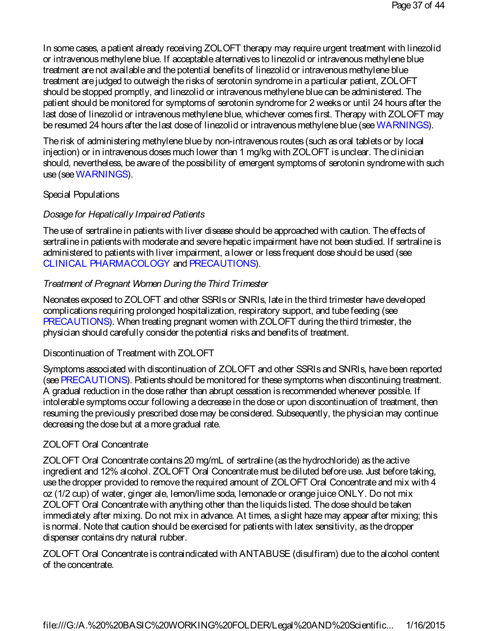In some cases, a patient already receiving ZOLOFT therapy may require urgent treatment with linezolid or intravenous methylene blue. If acceptable alternatives to linezolid or intravenous methylene blue treatment are not available and the potential benefits of linezolid or intravenous methylene blue treatment are judged to outweigh the risks of serotonin syndrome in a particular patient, ZOLOFT should be stopped promptly, and linezolid or intravenous methylene blue can be administered. The patient should be monitored for symptoms of serotonin syndrome for 2 weeks or until 24 hours after the last dose of linezolid or intravenous methylene blue, whichever comes first. Therapy with ZOLOFT may be resumed 24 hours after the last dose of linezolid or intravenous methylene blue (see WARNINGS).

The risk of administering methylene blue by non-intravenous routes (such as oral tablets or by local injection) or in intravenous doses much lower than 1 mg/kg with ZOLOFT is unclear. The clinician should, nevertheless, be aware of the possibility of emergent symptoms of serotonin syndrome with such use (seeWARNINGS).

### Special Populations

# *Dosage for Hepatically Impaired Patients*

The use of sertraline in patients with liver disease should be approached with caution. The effects of sertraline in patients with moderate and severe hepatic impairment have not been studied. If sertraline is administered to patients with liver impairment, a lower or less frequent dose should be used (see CLINICAL PHARMACOLOGY and PRECAUTIONS).

# *Treatment of Pregnant Women During the Third Trimester*

Neonates exposed to ZOLOFT and other SSRIs or SNRIs, late in the third trimester have developed complications requiring prolonged hospitalization, respiratory support, and tube feeding (see PRECAUTIONS). When treating pregnant women with ZOLOFT during the third trimester, the physician should carefully consider the potential risks and benefits of treatment.

### Discontinuation of Treatment with ZOLOFT

Symptoms associated with discontinuation of ZOLOFT and other SSRIs and SNRIs, have been reported (see PRECAUTIONS). Patients should be monitored for these symptoms when discontinuing treatment. A gradual reduction in the dose rather than abrupt cessation is recommended whenever possible. If intolerable symptoms occur following a decrease in the dose or upon discontinuation of treatment, then resuming the previously prescribed dose may be considered. Subsequently, the physician may continue decreasing the dose but at a more gradual rate.

### ZOLOFT Oral Concentrate

ZOLOFT Oral Concentrate contains 20 mg/mL of sertraline (as the hydrochloride) as the active ingredient and 12% alcohol. ZOLOFT Oral Concentrate must be diluted before use. Just before taking, use the dropper provided to remove the required amount of ZOLOFT Oral Concentrate and mix with 4 oz (1/2 cup) of water, ginger ale, lemon/lime soda, lemonade or orange juice ONLY. Do not mix ZOLOFT Oral Concentrate with anything other than the liquids listed. The dose should be taken immediately after mixing. Do not mix in advance. At times, a slight haze may appear after mixing; this is normal. Note that caution should be exercised for patients with latex sensitivity, as the dropper dispenser contains dry natural rubber.

ZOLOFT Oral Concentrate is contraindicated with ANTABUSE (disulfiram) due to the alcohol content of the concentrate.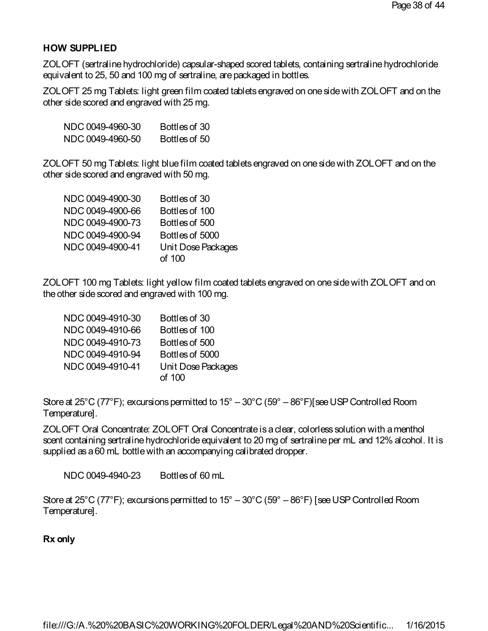# **HOW SUPPLIED**

ZOLOFT (sertraline hydrochloride) capsular-shaped scored tablets, containing sertraline hydrochloride equivalent to 25, 50 and 100 mg of sertraline, are packaged in bottles.

ZOLOFT 25 mg Tablets: light green film coated tablets engraved on one side with ZOLOFT and on the other side scored and engraved with 25 mg.

| NDC 0049-4960-30 | Bottles of 30 |
|------------------|---------------|
| NDC 0049-4960-50 | Bottles of 50 |

ZOLOFT 50 mg Tablets: light blue film coated tablets engraved on one side with ZOLOFT and on the other side scored and engraved with 50 mg.

| NDC 0049-4900-30 | Bottles of 30      |
|------------------|--------------------|
| NDC 0049-4900-66 | Bottles of 100     |
| NDC 0049-4900-73 | Bottles of 500     |
| NDC 0049-4900-94 | Bottles of 5000    |
| NDC 0049-4900-41 | Unit Dose Packages |
|                  | of 100             |

ZOLOFT 100 mg Tablets: light yellow film coated tablets engraved on one side with ZOLOFT and on the other side scored and engraved with 100 mg.

| NDC 0049-4910-30 | Bottles of 30                |
|------------------|------------------------------|
| NDC 0049-4910-66 | Bottles of 100               |
| NDC 0049-4910-73 | Bottles of 500               |
| NDC 0049-4910-94 | Bottles of 5000              |
| NDC 0049-4910-41 | Unit Dose Packages<br>of 100 |

Store at 25°C (77°F); excursions permitted to 15° – 30°C (59° – 86°F)[see USP Controlled Room Temperature].

ZOLOFT Oral Concentrate: ZOLOFT Oral Concentrate is a clear, colorless solution with a menthol scent containing sertraline hydrochloride equivalent to 20 mg of sertraline per mL and 12% alcohol. It is supplied as a 60 mL bottle with an accompanying calibrated dropper.

NDC 0049-4940-23 Bottles of 60 mL

Store at 25°C (77°F); excursions permitted to 15° – 30°C (59° – 86°F) [see USP Controlled Room Temperature].

**Rx only**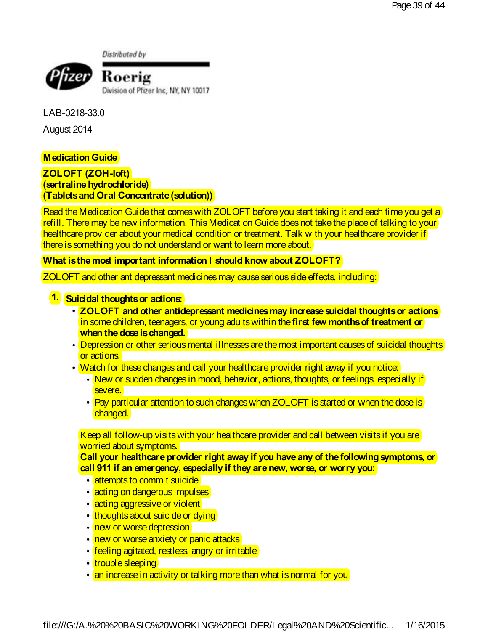



LAB-0218-33.0

August 2014

### **Medication Guide**

**ZOLOFT (ZOH-loft) (sertraline hydrochloride) (Tablets and Oral Concentrate (solution))**

Read the Medication Guide that comes with ZOLOFT before you start taking it and each time you get a refill. There may be new information. This Medication Guide does not take the place of talking to your healthcare provider about your medical condition or treatment. Talk with your healthcare provider if there is something you do not understand or want to learn more about.

**What is the most important information I should know about ZOLOFT?**

ZOLOFT and other antidepressant medicines may cause serious side effects, including:

- **1. Suicidal thoughts or actions:**
	- **ZOLOFT and other antidepressant medicines may increase suicidal thoughts or actions** in some children, teenagers, or young adults within the **first few months of treatment or when the dose is changed.**
	- Depression or other serious mental illnesses are the most important causes of suicidal thoughts or actions.
	- . Watch for these changes and call your healthcare provider right away if you notice:
		- . New or sudden changes in mood, behavior, actions, thoughts, or feelings, especially if severe.
		- Pay particular attention to such changes when ZOLOFT is started or when the dose is changed.

Keep all follow-up visits with your healthcare provider and call between visits if you are worried about symptoms.

**Call your healthcare provider right away if you have any of the following symptoms, or call 911 if an emergency, especially if they are new, worse, or worry you:**

- attempts to commit suicide
- acting on dangerous impulses
- acting aggressive or violent
- thoughts about suicide or dying
- new or worse depression
- new or worse anxiety or panic attacks
- feeling agitated, restless, angry or irritable
- trouble sleeping
- an increase in activity or talking more than what is normal for you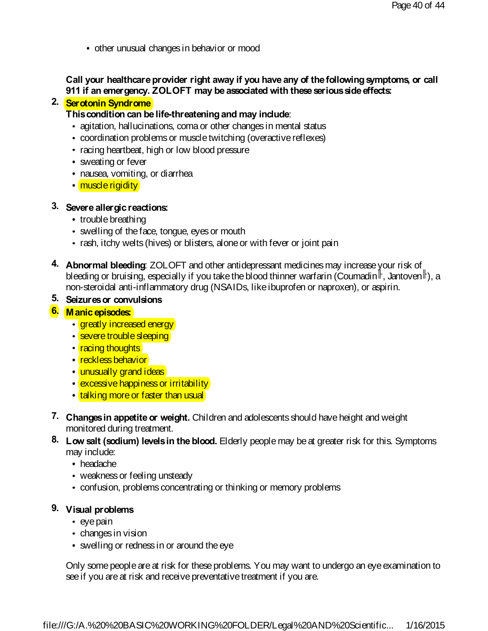other unusual changes in behavior or mood

**Call your healthcare provider right away if you have any of the following symptoms, or call 911 if an emergency. ZOLOFT may be associated with these serious side effects:**

# **2. Serotonin Syndrome**

**This condition can be life-threatening and may include**:

- agitation, hallucinations, coma or other changes in mental status
- coordination problems or muscle twitching (overactive reflexes)
- racing heartbeat, high or low blood pressure
- sweating or fever
- nausea, vomiting, or diarrhea
- muscle rigidity
- **3. Severe allergic reactions:**
	- trouble breathing
	- swelling of the face, tongue, eyes or mouth
	- rash, itchy welts (hives) or blisters, alone or with fever or joint pain
- **4. Abnormal bleeding**: ZOLOFT and other antidepressant medicines may increase your risk of bleeding or bruising, especially if you take the blood thinner warfarin (Coumadin , Jantoven ), a non-steroidal anti-inflammatory drug (NSAIDs, like ibuprofen or naproxen), or aspirin.
- **5. Seizures or convulsions**

# **6. Manic episodes:**

- **greatly increased energy**
- severe trouble sleeping
- racing thoughts
- reckless behavior
- unusually grand ideas
- excessive happiness or irritability
- talking more or faster than usual
- **7. Changes in appetite or weight.** Children and adolescents should have height and weight monitored during treatment.
- **8. Low salt (sodium) levels in the blood.** Elderly people may be at greater risk for this. Symptoms may include:
	- headache
	- weakness or feeling unsteady
	- confusion, problems concentrating or thinking or memory problems
- **9. Visual problems**
	- eye pain
	- changes in vision
	- swelling or redness in or around the eye

Only some people are at risk for these problems. You may want to undergo an eye examination to see if you are at risk and receive preventative treatment if you are.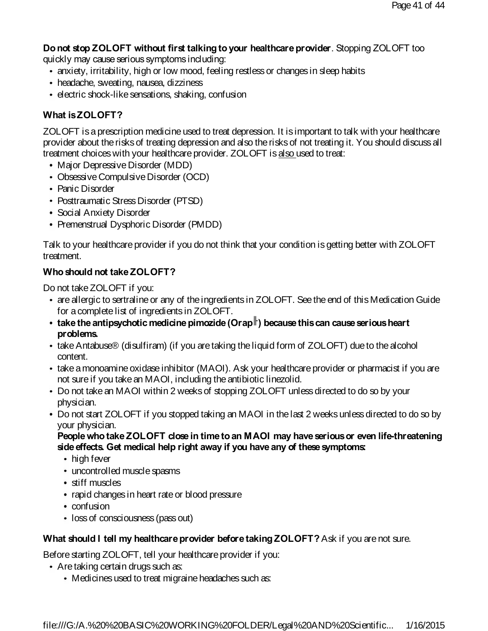**Do not stop ZOLOFT without first talking to your healthcare provider**. Stopping ZOLOFT too quickly may cause serious symptoms including:

- anxiety, irritability, high or low mood, feeling restless or changes in sleep habits
- headache, sweating, nausea, dizziness
- electric shock-like sensations, shaking, confusion

# **What is ZOLOFT?**

ZOLOFT is a prescription medicine used to treat depression. It is important to talk with your healthcare provider about the risks of treating depression and also the risks of not treating it. You should discuss all treatment choices with your healthcare provider. ZOLOFT is also used to treat:

- Major Depressive Disorder (MDD)
- Obsessive Compulsive Disorder (OCD)
- Panic Disorder
- Posttraumatic Stress Disorder (PTSD)
- Social Anxiety Disorder
- Premenstrual Dysphoric Disorder (PMDD)

Talk to your healthcare provider if you do not think that your condition is getting better with ZOLOFT treatment.

# **Who should not take ZOLOFT?**

Do not take ZOLOFT if you:

- are allergic to sertraline or any of the ingredients in ZOLOFT. See the end of this Medication Guide for a complete list of ingredients in ZOLOFT.
- **take the antipsychotic medicine pimozide (Orap ) because this can cause serious heart ╟ problems.**
- take Antabuse® (disulfiram) (if you are taking the liquid form of ZOLOFT) due to the alcohol content.
- take a monoamine oxidase inhibitor (MAOI). Ask your healthcare provider or pharmacist if you are not sure if you take an MAOI, including the antibiotic linezolid.
- Do not take an MAOI within 2 weeks of stopping ZOLOFT unless directed to do so by your physician.
- Do not start ZOLOFT if you stopped taking an MAOI in the last 2 weeks unless directed to do so by your physician.

**People who take ZOLOFT close in time to an MAOI may have serious or even life-threatening side effects. Get medical help right away if you have any of these symptoms:**

- high fever
- uncontrolled muscle spasms
- stiff muscles
- rapid changes in heart rate or blood pressure
- confusion
- loss of consciousness (pass out)

# **What should I tell my healthcare provider before taking ZOLOFT?**Ask if you are not sure.

Before starting ZOLOFT, tell your healthcare provider if you:

- Are taking certain drugs such as:
	- Medicines used to treat migraine headaches such as: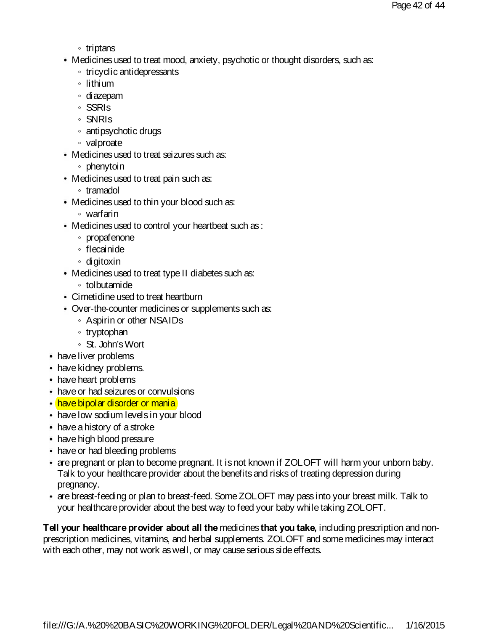triptans

- Medicines used to treat mood, anxiety, psychotic or thought disorders, such as:
	- tricyclic antidepressants
	- lithium
	- diazepam
	- **SSRIs**
	- **SNRIS**
	- antipsychotic drugs
	- valproate
- Medicines used to treat seizures such as:
	- phenytoin
- Medicines used to treat pain such as:
	- tramadol
- Medicines used to thin your blood such as: warfarin
- Medicines used to control your heartbeat such as :
	- propafenone
	- flecainide
	- digitoxin
- Medicines used to treat type II diabetes such as: tolbutamide
- Cimetidine used to treat heartburn
- Over-the-counter medicines or supplements such as: Aspirin or other NSAIDs tryptophan
	- St. John's Wort
- have liver problems
- have kidney problems.
- have heart problems
- have or had seizures or convulsions
- have bipolar disorder or mania
- have low sodium levels in your blood
- have a history of a stroke
- have high blood pressure
- have or had bleeding problems
- are pregnant or plan to become pregnant. It is not known if ZOLOFT will harm your unborn baby. Talk to your healthcare provider about the benefits and risks of treating depression during pregnancy.
- are breast-feeding or plan to breast-feed. Some ZOLOFT may pass into your breast milk. Talk to your healthcare provider about the best way to feed your baby while taking ZOLOFT.

**Tell your healthcare provider about all the** medicines **that you take,** including prescription and nonprescription medicines, vitamins, and herbal supplements. ZOLOFT and some medicines may interact with each other, may not work as well, or may cause serious side effects.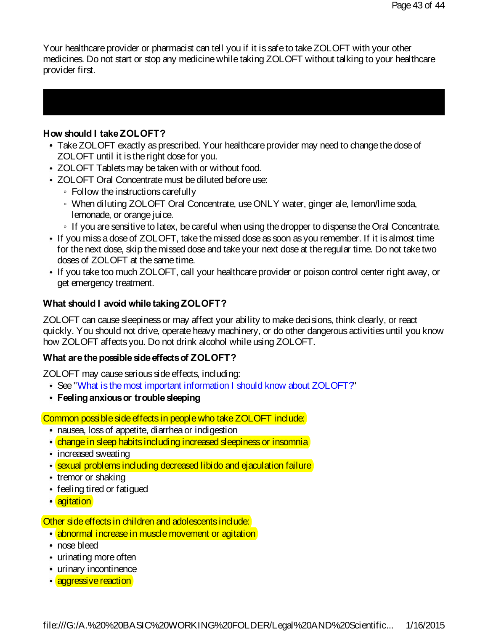Your healthcare provider or pharmacist can tell you if it is safe to take ZOLOFT with your other medicines. Do not start or stop any medicine while taking ZOLOFT without talking to your healthcare provider first.

If you take ZOLOFT, you should not take any other medicines that contain sertraline (sertraline HCl,

#### **How should I take ZOLOFT?**

- Take ZOLOFT exactly as prescribed. Your healthcare provider may need to change the dose of ZOLOFT until it is the right dose for you.
- ZOLOFT Tablets may be taken with or without food.
- ZOLOFT Oral Concentrate must be diluted before use:

Follow the instructions carefully When diluting ZOLOFT Oral Concentrate, use ONLY water, ginger ale, lemon/lime soda, lemonade, or orange juice.

If you are sensitive to latex, be careful when using the dropper to dispense the Oral Concentrate.

- If you miss a dose of ZOLOFT, take the missed dose as soon as you remember. If it is almost time for the next dose, skip the missed dose and take your next dose at the regular time. Do not take two doses of ZOLOFT at the same time.
- If you take too much ZOLOFT, call your healthcare provider or poison control center right away, or get emergency treatment.

#### **What should I avoid while taking ZOLOFT?**

ZOLOFT can cause sleepiness or may affect your ability to make decisions, think clearly, or react quickly. You should not drive, operate heavy machinery, or do other dangerous activities until you know how ZOLOFT affects you. Do not drink alcohol while using ZOLOFT.

#### **What are the possible side effects of ZOLOFT?**

ZOLOFT may cause serious side effects, including:

- See "What is the most important information I should know about ZOLOFT?"
- **Feeling anxious or trouble sleeping**

#### Common possible side effects in people who take ZOLOFT include:

- nausea, loss of appetite, diarrhea or indigestion
- change in sleep habits including increased sleepiness or insomnia
- increased sweating
- sexual problems including decreased libido and ejaculation failure
- tremor or shaking
- feeling tired or fatigued
- agitation

#### Other side effects in children and adolescents include:

- abnormal increase in muscle movement or agitation
- nose bleed
- urinating more often
- urinary incontinence
- · aggressive reaction